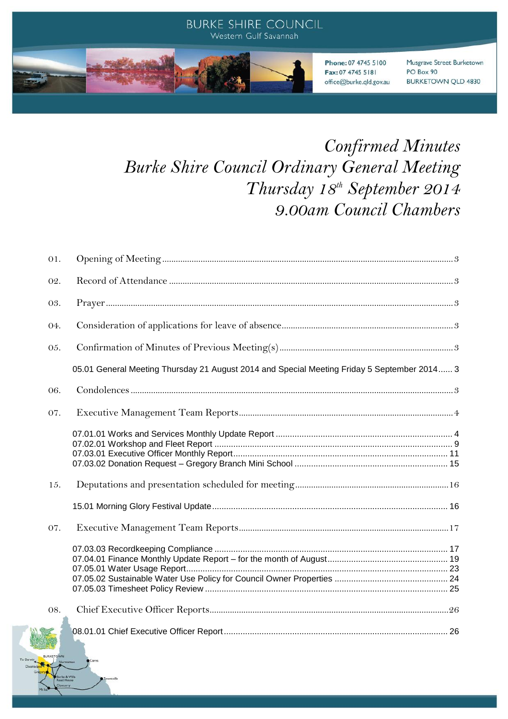

# *Confirmed Minutes Burke Shire Council Ordinary General Meeting Thursday 18th September 2014 9.00am Council Chambers*

| 01. |                                                                                             |  |
|-----|---------------------------------------------------------------------------------------------|--|
| 02. |                                                                                             |  |
| 03. |                                                                                             |  |
| 04. |                                                                                             |  |
| 05. |                                                                                             |  |
|     | 05.01 General Meeting Thursday 21 August 2014 and Special Meeting Friday 5 September 2014 3 |  |
| 06. |                                                                                             |  |
| 07. |                                                                                             |  |
|     |                                                                                             |  |
| 15. |                                                                                             |  |
|     |                                                                                             |  |
| 07. |                                                                                             |  |
|     |                                                                                             |  |
| 08. |                                                                                             |  |
|     |                                                                                             |  |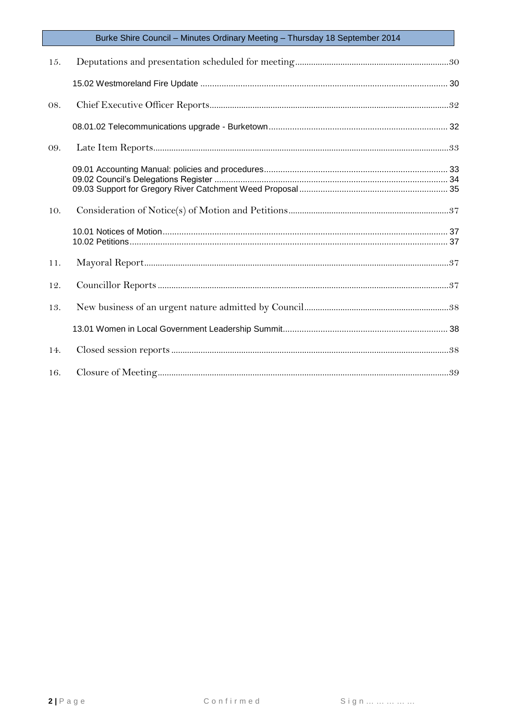| 15. |  |
|-----|--|
|     |  |
| 08. |  |
|     |  |
| 09. |  |
|     |  |
| 10. |  |
|     |  |
| 11. |  |
| 12. |  |
| 13. |  |
|     |  |
| 14. |  |
| 16. |  |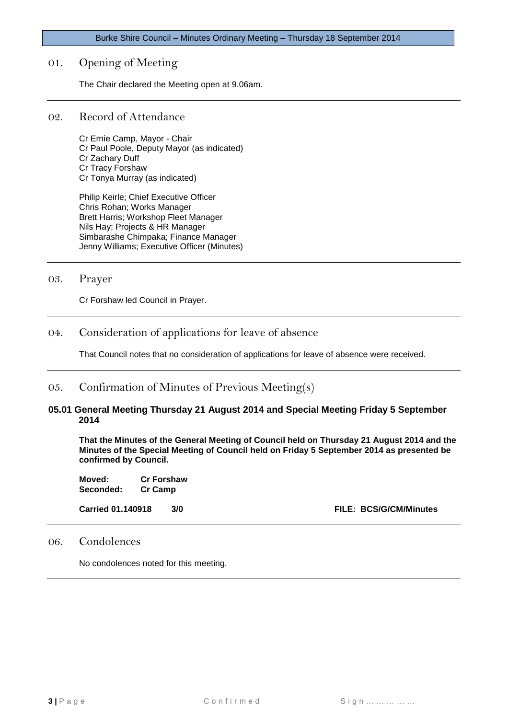# <span id="page-2-0"></span>01. Opening of Meeting

The Chair declared the Meeting open at 9.06am.

#### <span id="page-2-1"></span>02. Record of Attendance

Cr Ernie Camp, Mayor - Chair Cr Paul Poole, Deputy Mayor (as indicated) Cr Zachary Duff Cr Tracy Forshaw Cr Tonya Murray (as indicated)

Philip Keirle; Chief Executive Officer Chris Rohan; Works Manager Brett Harris; Workshop Fleet Manager Nils Hay; Projects & HR Manager Simbarashe Chimpaka; Finance Manager Jenny Williams; Executive Officer (Minutes)

<span id="page-2-2"></span>03. Prayer

Cr Forshaw led Council in Prayer.

# <span id="page-2-3"></span>04. Consideration of applications for leave of absence

That Council notes that no consideration of applications for leave of absence were received.

# <span id="page-2-4"></span>05. Confirmation of Minutes of Previous Meeting(s)

#### <span id="page-2-5"></span>**05.01 General Meeting Thursday 21 August 2014 and Special Meeting Friday 5 September 2014**

**That the Minutes of the General Meeting of Council held on Thursday 21 August 2014 and the Minutes of the Special Meeting of Council held on Friday 5 September 2014 as presented be confirmed by Council.**

| Moved:    | <b>Cr Forshaw</b> |
|-----------|-------------------|
| Seconded: | <b>Cr Camp</b>    |

**Carried 01.140918 3/0 FILE: BCS/G/CM/Minutes**

# <span id="page-2-6"></span>06. Condolences

No condolences noted for this meeting.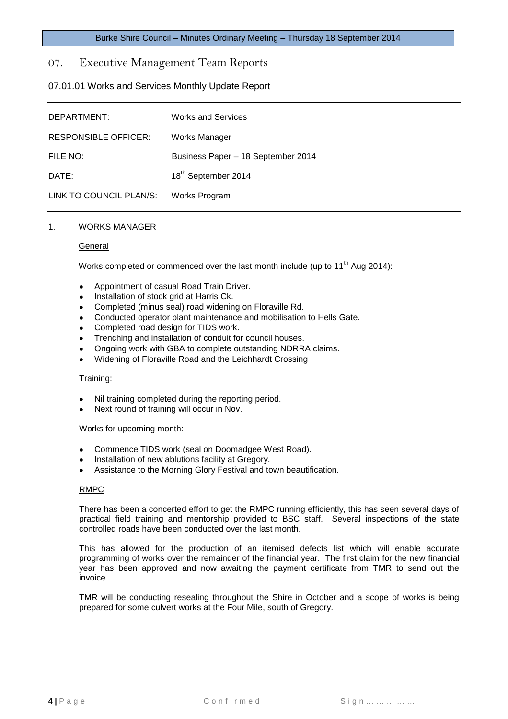# <span id="page-3-0"></span>07. Executive Management Team Reports

# <span id="page-3-1"></span>07.01.01 Works and Services Monthly Update Report

| DEPARTMENT:                 | <b>Works and Services</b>          |
|-----------------------------|------------------------------------|
| <b>RESPONSIBLE OFFICER:</b> | Works Manager                      |
| FILE NO:                    | Business Paper - 18 September 2014 |
| DATE:                       | 18 <sup>th</sup> September 2014    |
| LINK TO COUNCIL PLAN/S:     | Works Program                      |

#### 1. WORKS MANAGER

#### **General**

Works completed or commenced over the last month include (up to 11<sup>th</sup> Aug 2014):

- Appointment of casual Road Train Driver.
- Installation of stock grid at Harris Ck.
- Completed (minus seal) road widening on Floraville Rd.  $\bullet$
- Conducted operator plant maintenance and mobilisation to Hells Gate.
- Completed road design for TIDS work.
- Trenching and installation of conduit for council houses.
- Ongoing work with GBA to complete outstanding NDRRA claims.
- Widening of Floraville Road and the Leichhardt Crossing

#### Training:

- Nil training completed during the reporting period.
- Next round of training will occur in Nov.

Works for upcoming month:

- Commence TIDS work (seal on Doomadgee West Road).
- Installation of new ablutions facility at Gregory.
- Assistance to the Morning Glory Festival and town beautification.

#### RMPC

There has been a concerted effort to get the RMPC running efficiently, this has seen several days of practical field training and mentorship provided to BSC staff. Several inspections of the state controlled roads have been conducted over the last month.

This has allowed for the production of an itemised defects list which will enable accurate programming of works over the remainder of the financial year. The first claim for the new financial year has been approved and now awaiting the payment certificate from TMR to send out the invoice.

TMR will be conducting resealing throughout the Shire in October and a scope of works is being prepared for some culvert works at the Four Mile, south of Gregory.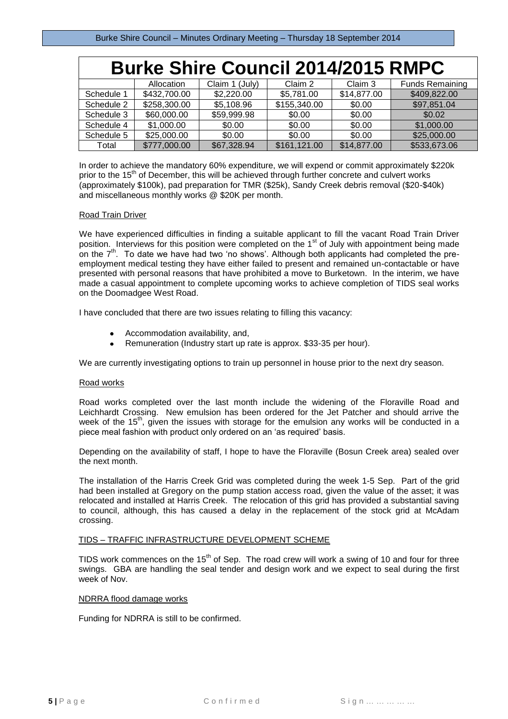| <b>Burke Shire Council 2014/2015 RMPC</b> |              |                |              |             |                        |
|-------------------------------------------|--------------|----------------|--------------|-------------|------------------------|
|                                           | Allocation   | Claim 1 (July) | Claim 2      | Claim 3     | <b>Funds Remaining</b> |
| Schedule 1                                | \$432,700.00 | \$2,220.00     | \$5,781.00   | \$14,877.00 | \$409,822.00           |
| Schedule 2                                | \$258,300.00 | \$5,108.96     | \$155,340.00 | \$0.00      | \$97,851.04            |
| Schedule 3                                | \$60,000.00  | \$59,999.98    | \$0.00       | \$0.00      | \$0.02                 |
| Schedule 4                                | \$1,000.00   | \$0.00         | \$0.00       | \$0.00      | \$1,000.00             |
| Schedule 5                                | \$25,000.00  | \$0.00         | \$0.00       | \$0.00      | \$25,000.00            |
| Total                                     | \$777,000.00 | \$67,328.94    | \$161,121.00 | \$14,877.00 | \$533,673.06           |

In order to achieve the mandatory 60% expenditure, we will expend or commit approximately \$220k prior to the 15<sup>th</sup> of December, this will be achieved through further concrete and culvert works (approximately \$100k), pad preparation for TMR (\$25k), Sandy Creek debris removal (\$20-\$40k) and miscellaneous monthly works @ \$20K per month.

#### Road Train Driver

We have experienced difficulties in finding a suitable applicant to fill the vacant Road Train Driver position. Interviews for this position were completed on the 1<sup>st</sup> of July with appointment being made on the  $7<sup>th</sup>$ . To date we have had two 'no shows'. Although both applicants had completed the preemployment medical testing they have either failed to present and remained un-contactable or have presented with personal reasons that have prohibited a move to Burketown. In the interim, we have made a casual appointment to complete upcoming works to achieve completion of TIDS seal works on the Doomadgee West Road.

I have concluded that there are two issues relating to filling this vacancy:

- Accommodation availability, and,
- Remuneration (Industry start up rate is approx. \$33-35 per hour).

We are currently investigating options to train up personnel in house prior to the next dry season.

#### Road works

Road works completed over the last month include the widening of the Floraville Road and Leichhardt Crossing. New emulsion has been ordered for the Jet Patcher and should arrive the week of the 15<sup>th</sup>, given the issues with storage for the emulsion any works will be conducted in a piece meal fashion with product only ordered on an 'as required' basis.

Depending on the availability of staff, I hope to have the Floraville (Bosun Creek area) sealed over the next month.

The installation of the Harris Creek Grid was completed during the week 1-5 Sep. Part of the grid had been installed at Gregory on the pump station access road, given the value of the asset; it was relocated and installed at Harris Creek. The relocation of this grid has provided a substantial saving to council, although, this has caused a delay in the replacement of the stock grid at McAdam crossing.

#### TIDS – TRAFFIC INFRASTRUCTURE DEVELOPMENT SCHEME

TIDS work commences on the  $15<sup>th</sup>$  of Sep. The road crew will work a swing of 10 and four for three swings. GBA are handling the seal tender and design work and we expect to seal during the first week of Nov.

#### NDRRA flood damage works

Funding for NDRRA is still to be confirmed.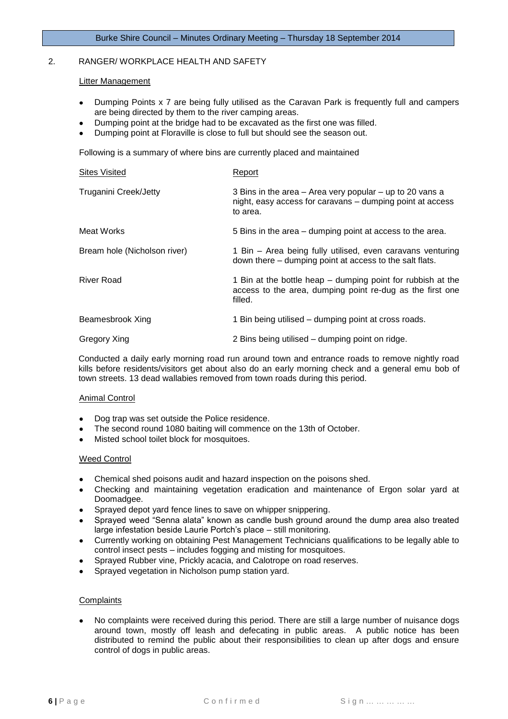#### 2. RANGER/ WORKPLACE HEALTH AND SAFETY

#### Litter Management

- Dumping Points x 7 are being fully utilised as the Caravan Park is frequently full and campers are being directed by them to the river camping areas.
- Dumping point at the bridge had to be excavated as the first one was filled.
- Dumping point at Floraville is close to full but should see the season out.

Following is a summary of where bins are currently placed and maintained

| <b>Sites Visited</b>         | Report                                                                                                                              |
|------------------------------|-------------------------------------------------------------------------------------------------------------------------------------|
| <b>Truganini Creek/Jetty</b> | 3 Bins in the area – Area very popular – up to 20 vans a<br>night, easy access for caravans - dumping point at access<br>to area.   |
| Meat Works                   | 5 Bins in the area – dumping point at access to the area.                                                                           |
| Bream hole (Nicholson river) | 1 Bin - Area being fully utilised, even caravans venturing<br>down there – dumping point at access to the salt flats.               |
| River Road                   | 1 Bin at the bottle heap – dumping point for rubbish at the<br>access to the area, dumping point re-dug as the first one<br>filled. |
| Beamesbrook Xing             | 1 Bin being utilised – dumping point at cross roads.                                                                                |
| Gregory Xing                 | 2 Bins being utilised – dumping point on ridge.                                                                                     |

Conducted a daily early morning road run around town and entrance roads to remove nightly road kills before residents/visitors get about also do an early morning check and a general emu bob of town streets. 13 dead wallabies removed from town roads during this period.

#### Animal Control

- Dog trap was set outside the Police residence.
- The second round 1080 baiting will commence on the 13th of October.
- Misted school toilet block for mosquitoes.

#### Weed Control

- Chemical shed poisons audit and hazard inspection on the poisons shed.
- Checking and maintaining vegetation eradication and maintenance of Ergon solar yard at Doomadgee.
- Sprayed depot yard fence lines to save on whipper snippering.
- Sprayed weed "Senna alata" known as candle bush ground around the dump area also treated large infestation beside Laurie Portch's place – still monitoring.
- Currently working on obtaining Pest Management Technicians qualifications to be legally able to control insect pests – includes fogging and misting for mosquitoes.
- Sprayed Rubber vine, Prickly acacia, and Calotrope on road reserves.
- Sprayed vegetation in Nicholson pump station yard.

#### **Complaints**

No complaints were received during this period. There are still a large number of nuisance dogs around town, mostly off leash and defecating in public areas. A public notice has been distributed to remind the public about their responsibilities to clean up after dogs and ensure control of dogs in public areas.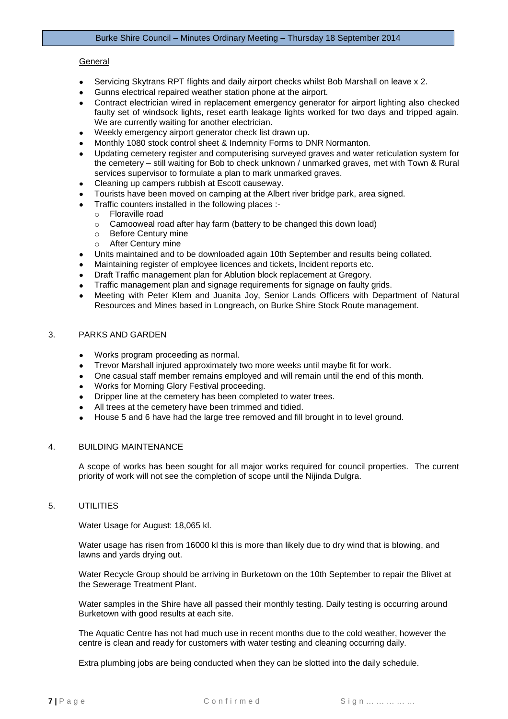#### General

- Servicing Skytrans RPT flights and daily airport checks whilst Bob Marshall on leave x 2.
- Gunns electrical repaired weather station phone at the airport.
- Contract electrician wired in replacement emergency generator for airport lighting also checked faulty set of windsock lights, reset earth leakage lights worked for two days and tripped again. We are currently waiting for another electrician.
- Weekly emergency airport generator check list drawn up.
- Monthly 1080 stock control sheet & Indemnity Forms to DNR Normanton.
- Updating cemetery register and computerising surveyed graves and water reticulation system for the cemetery – still waiting for Bob to check unknown / unmarked graves, met with Town & Rural services supervisor to formulate a plan to mark unmarked graves.
- Cleaning up campers rubbish at Escott causeway.
- Tourists have been moved on camping at the Albert river bridge park, area signed.
- Traffic counters installed in the following places :
	- o Floraville road
	- o Camooweal road after hay farm (battery to be changed this down load)
	- o Before Century mine
	- o After Century mine
- Units maintained and to be downloaded again 10th September and results being collated.
- Maintaining register of employee licences and tickets, Incident reports etc.
- Draft Traffic management plan for Ablution block replacement at Gregory.
- Traffic management plan and signage requirements for signage on faulty grids.
- Meeting with Peter Klem and Juanita Joy, Senior Lands Officers with Department of Natural Resources and Mines based in Longreach, on Burke Shire Stock Route management.

#### 3. PARKS AND GARDEN

- Works program proceeding as normal.
- Trevor Marshall injured approximately two more weeks until maybe fit for work.
- One casual staff member remains employed and will remain until the end of this month.
- Works for Morning Glory Festival proceeding.
- Dripper line at the cemetery has been completed to water trees.
- All trees at the cemetery have been trimmed and tidied.
- House 5 and 6 have had the large tree removed and fill brought in to level ground.

#### 4. BUILDING MAINTENANCE

A scope of works has been sought for all major works required for council properties. The current priority of work will not see the completion of scope until the Nijinda Dulgra.

#### 5. UTILITIES

Water Usage for August: 18,065 kl.

Water usage has risen from 16000 kl this is more than likely due to dry wind that is blowing, and lawns and yards drying out.

Water Recycle Group should be arriving in Burketown on the 10th September to repair the Blivet at the Sewerage Treatment Plant.

Water samples in the Shire have all passed their monthly testing. Daily testing is occurring around Burketown with good results at each site.

The Aquatic Centre has not had much use in recent months due to the cold weather, however the centre is clean and ready for customers with water testing and cleaning occurring daily.

Extra plumbing jobs are being conducted when they can be slotted into the daily schedule.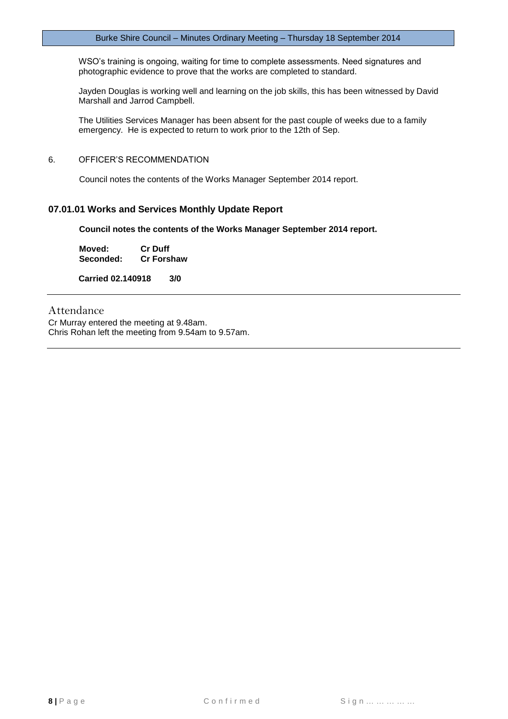WSO's training is ongoing, waiting for time to complete assessments. Need signatures and photographic evidence to prove that the works are completed to standard.

Jayden Douglas is working well and learning on the job skills, this has been witnessed by David Marshall and Jarrod Campbell.

The Utilities Services Manager has been absent for the past couple of weeks due to a family emergency. He is expected to return to work prior to the 12th of Sep.

#### 6. OFFICER'S RECOMMENDATION

Council notes the contents of the Works Manager September 2014 report.

#### **07.01.01 Works and Services Monthly Update Report**

**Council notes the contents of the Works Manager September 2014 report.**

| Moved:    | <b>Cr Duff</b>    |
|-----------|-------------------|
| Seconded: | <b>Cr Forshaw</b> |

**Carried 02.140918 3/0**

# Attendance

Cr Murray entered the meeting at 9.48am. Chris Rohan left the meeting from 9.54am to 9.57am.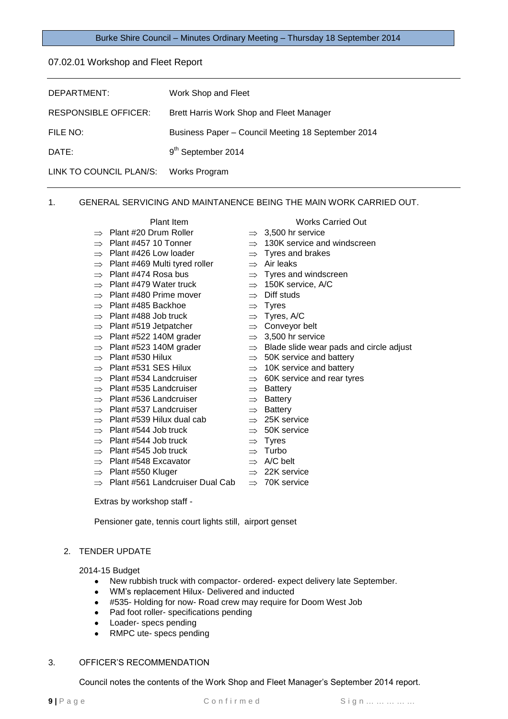#### <span id="page-8-0"></span>07.02.01 Workshop and Fleet Report

| DEPARTMENT:                 | Work Shop and Fleet                                |
|-----------------------------|----------------------------------------------------|
| <b>RESPONSIBLE OFFICER:</b> | Brett Harris Work Shop and Fleet Manager           |
| FILE NO:                    | Business Paper - Council Meeting 18 September 2014 |
| DATE:                       | 9 <sup>th</sup> September 2014                     |
| LINK TO COUNCIL PLAN/S:     | Works Program                                      |

#### 1. GENERAL SERVICING AND MAINTANENCE BEING THE MAIN WORK CARRIED OUT.

- Plant #20 Drum Roller
- Plant #457 10 Tonner
- Plant #426 Low loader
- Plant #469 Multi tyred roller
- Plant #474 Rosa bus
- Plant #479 Water truck
- Plant #480 Prime mover
- 
- Plant #485 Backhoe
- Plant #488 Job truck
- Plant #519 Jetpatcher
- Plant #522 140M grader
- Plant #523 140M grader
- Plant #530 Hilux
- Plant #531 SES Hilux
- Plant #534 Landcruiser
- Plant #535 Landcruiser
- Plant #536 Landcruiser
- Plant #537 Landcruiser
- Plant #539 Hilux dual cab
- Plant #544 Job truck
- Plant #544 Job truck
- Plant #545 Job truck
- Plant #548 Excavator
- Plant #550 Kluger
- Plant #561 Landcruiser Dual Cab  $\Rightarrow$  Plant #561 Landcruiser Dual Cab  $\Rightarrow$  70K service
- Plant Item Works Carried Out
	- 3,500 hr service
	- 130K service and windscreen
	- Tyres and brakes
	- Air leaks
	- Tyres and windscreen
	- 150K service, A/C
	- Diff studs
	- Tyres
	- Tyres, A/C
	- Conveyor belt
	- 3,500 hr service
	- Blade slide wear pads and circle adjust
	- 50K service and battery
	- 10K service and battery
	- 60K service and rear tyres
	- Battery
	- Battery
	- Battery
	- 25K service
	- 50K service
	-
	- $\Rightarrow$  22K service
		-

Extras by workshop staff -

Pensioner gate, tennis court lights still, airport genset

#### 2. TENDER UPDATE

2014-15 Budget

- New rubbish truck with compactor- ordered- expect delivery late September.  $\bullet$  .
- WM's replacement Hilux- Delivered and inducted
- #535- Holding for now- Road crew may require for Doom West Job
- Pad foot roller- specifications pending
- Loader- specs pending
- RMPC ute- specs pending  $\bullet$

#### 3. OFFICER'S RECOMMENDATION

Council notes the contents of the Work Shop and Fleet Manager's September 2014 report.

- Tyres Turbo
	- A/C belt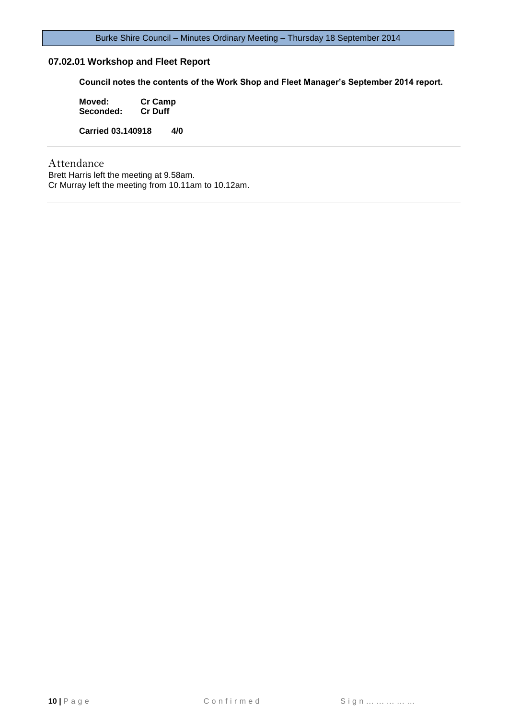# **07.02.01 Workshop and Fleet Report**

**Council notes the contents of the Work Shop and Fleet Manager's September 2014 report.**

**Moved: Cr Camp Seconded: Carried 03.140918 4/0**

Attendance

Brett Harris left the meeting at 9.58am. Cr Murray left the meeting from 10.11am to 10.12am.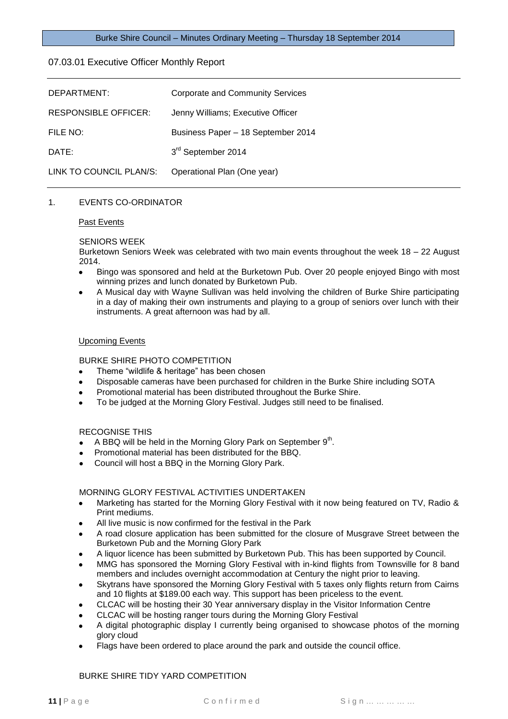#### <span id="page-10-0"></span>07.03.01 Executive Officer Monthly Report

| DEPARTMENT:                 | Corporate and Community Services   |
|-----------------------------|------------------------------------|
| <b>RESPONSIBLE OFFICER:</b> | Jenny Williams; Executive Officer  |
| FILE NO:                    | Business Paper - 18 September 2014 |
| DATE:                       | 3rd September 2014                 |
| LINK TO COUNCIL PLAN/S:     | Operational Plan (One year)        |

#### 1. EVENTS CO-ORDINATOR

#### Past Events

#### SENIORS WEEK

Burketown Seniors Week was celebrated with two main events throughout the week 18 – 22 August 2014.

- Bingo was sponsored and held at the Burketown Pub. Over 20 people enjoyed Bingo with most winning prizes and lunch donated by Burketown Pub.
- A Musical day with Wayne Sullivan was held involving the children of Burke Shire participating in a day of making their own instruments and playing to a group of seniors over lunch with their instruments. A great afternoon was had by all.

#### Upcoming Events

# BURKE SHIRE PHOTO COMPETITION

- Theme "wildlife & heritage" has been chosen
- Disposable cameras have been purchased for children in the Burke Shire including SOTA
- Promotional material has been distributed throughout the Burke Shire.
- To be judged at the Morning Glory Festival. Judges still need to be finalised.

#### RECOGNISE THIS

- A BBQ will be held in the Morning Glory Park on September 9<sup>th</sup>.
- Promotional material has been distributed for the BBQ.
- Council will host a BBQ in the Morning Glory Park.

#### MORNING GLORY FESTIVAL ACTIVITIES UNDERTAKEN

- Marketing has started for the Morning Glory Festival with it now being featured on TV, Radio & Print mediums.
- All live music is now confirmed for the festival in the Park
- A road closure application has been submitted for the closure of Musgrave Street between the Burketown Pub and the Morning Glory Park
- A liquor licence has been submitted by Burketown Pub. This has been supported by Council.
- MMG has sponsored the Morning Glory Festival with in-kind flights from Townsville for 8 band members and includes overnight accommodation at Century the night prior to leaving.
- Skytrans have sponsored the Morning Glory Festival with 5 taxes only flights return from Cairns and 10 flights at \$189.00 each way. This support has been priceless to the event.
- CLCAC will be hosting their 30 Year anniversary display in the Visitor Information Centre
- CLCAC will be hosting ranger tours during the Morning Glory Festival
- A digital photographic display I currently being organised to showcase photos of the morning glory cloud
- Flags have been ordered to place around the park and outside the council office.

#### BURKE SHIRE TIDY YARD COMPETITION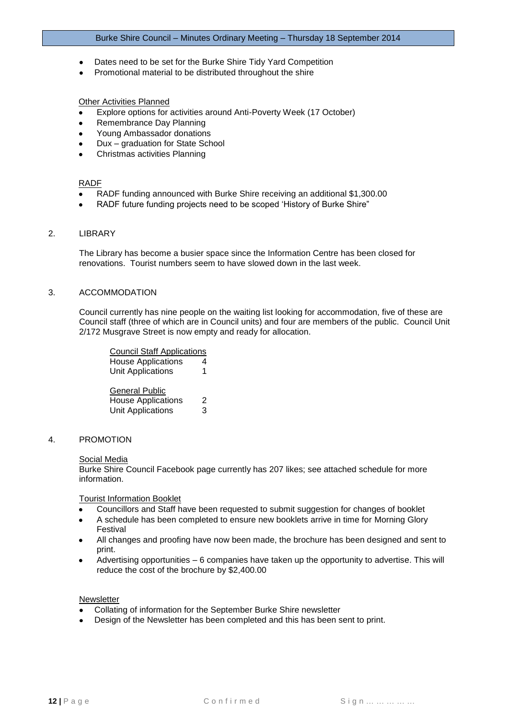- Dates need to be set for the Burke Shire Tidy Yard Competition
- Promotional material to be distributed throughout the shire

#### Other Activities Planned

- Explore options for activities around Anti-Poverty Week (17 October)
- Remembrance Day Planning
- Young Ambassador donations
- Dux graduation for State School
- Christmas activities Planning

#### RADF

- RADF funding announced with Burke Shire receiving an additional \$1,300.00
- RADF future funding projects need to be scoped 'History of Burke Shire"

#### 2. LIBRARY

The Library has become a busier space since the Information Centre has been closed for renovations. Tourist numbers seem to have slowed down in the last week.

#### 3. ACCOMMODATION

Council currently has nine people on the waiting list looking for accommodation, five of these are Council staff (three of which are in Council units) and four are members of the public. Council Unit 2/172 Musgrave Street is now empty and ready for allocation.

| <b>Council Staff Applications</b>                                       |        |
|-------------------------------------------------------------------------|--------|
| <b>House Applications</b>                                               | 4      |
| <b>Unit Applications</b>                                                | 1      |
| General Public<br><b>House Applications</b><br><b>Unit Applications</b> | 2<br>3 |

4. PROMOTION

#### Social Media

Burke Shire Council Facebook page currently has 207 likes; see attached schedule for more information.

Tourist Information Booklet

- Councillors and Staff have been requested to submit suggestion for changes of booklet
- A schedule has been completed to ensure new booklets arrive in time for Morning Glory Festival
- All changes and proofing have now been made, the brochure has been designed and sent to print.
- Advertising opportunities 6 companies have taken up the opportunity to advertise. This will reduce the cost of the brochure by \$2,400.00

#### Newsletter

- Collating of information for the September Burke Shire newsletter
- Design of the Newsletter has been completed and this has been sent to print.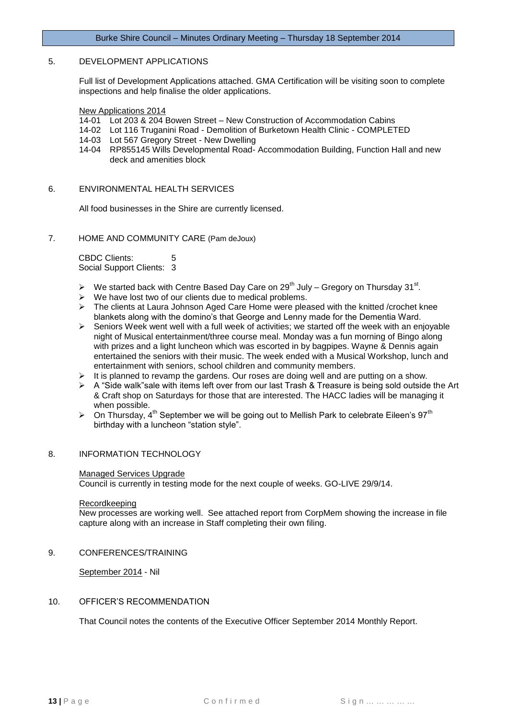#### 5. DEVELOPMENT APPLICATIONS

Full list of Development Applications attached. GMA Certification will be visiting soon to complete inspections and help finalise the older applications.

New Applications 2014

- 14-01 Lot 203 & 204 Bowen Street New Construction of Accommodation Cabins
- 14-02 Lot 116 Truganini Road Demolition of Burketown Health Clinic COMPLETED
- 14-03 Lot 567 Gregory Street New Dwelling
- 14-04 RP855145 Wills Developmental Road- Accommodation Building, Function Hall and new deck and amenities block

#### 6. ENVIRONMENTAL HEALTH SERVICES

All food businesses in the Shire are currently licensed.

7. HOME AND COMMUNITY CARE (Pam deJoux)

CBDC Clients: 5 Social Support Clients: 3

- $\triangleright$  We started back with Centre Based Day Care on 29<sup>th</sup> July Gregory on Thursday 31<sup>st</sup>.
- $\triangleright$  We have lost two of our clients due to medical problems.<br>  $\triangleright$  The clients at Laura Johnson Aged Care Home were plear
- The clients at Laura Johnson Aged Care Home were pleased with the knitted /crochet knee blankets along with the domino's that George and Lenny made for the Dementia Ward.
- $\triangleright$  Seniors Week went well with a full week of activities; we started off the week with an enjoyable night of Musical entertainment/three course meal. Monday was a fun morning of Bingo along with prizes and a light luncheon which was escorted in by bagpipes. Wayne & Dennis again entertained the seniors with their music. The week ended with a Musical Workshop, lunch and entertainment with seniors, school children and community members.
- $\triangleright$  It is planned to revamp the gardens. Our roses are doing well and are putting on a show.
- $\triangleright$  A "Side walk" sale with items left over from our last Trash & Treasure is being sold outside the Art & Craft shop on Saturdays for those that are interested. The HACC ladies will be managing it when possible.
- $\triangleright$  On Thursday, 4<sup>th</sup> September we will be going out to Mellish Park to celebrate Eileen's 97<sup>th</sup> birthday with a luncheon "station style".

# 8. INFORMATION TECHNOLOGY

#### Managed Services Upgrade

Council is currently in testing mode for the next couple of weeks. GO-LIVE 29/9/14.

#### Recordkeeping

New processes are working well. See attached report from CorpMem showing the increase in file capture along with an increase in Staff completing their own filing.

9. CONFERENCES/TRAINING

September 2014 - Nil

#### 10. OFFICER'S RECOMMENDATION

That Council notes the contents of the Executive Officer September 2014 Monthly Report.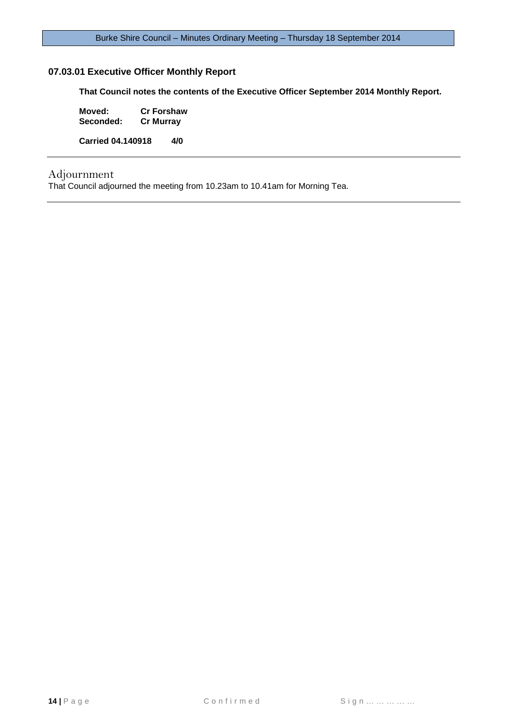# **07.03.01 Executive Officer Monthly Report**

**That Council notes the contents of the Executive Officer September 2014 Monthly Report.**

**Moved: Cr Forshaw Seconded:** 

**Carried 04.140918 4/0**

# Adjournment

That Council adjourned the meeting from 10.23am to 10.41am for Morning Tea.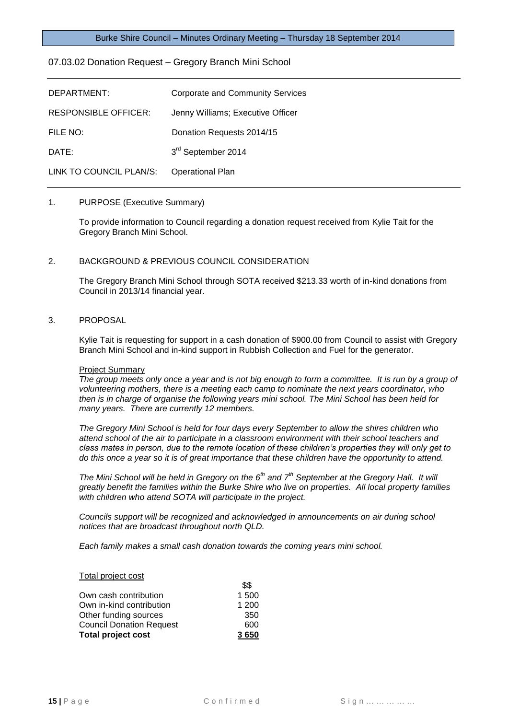#### <span id="page-14-0"></span>07.03.02 Donation Request – Gregory Branch Mini School

| DEPARTMENT:                 | Corporate and Community Services  |
|-----------------------------|-----------------------------------|
| <b>RESPONSIBLE OFFICER:</b> | Jenny Williams; Executive Officer |
| FILE NO:                    | Donation Requests 2014/15         |
| DATE:                       | 3rd September 2014                |
| LINK TO COUNCIL PLAN/S:     | <b>Operational Plan</b>           |

#### 1. PURPOSE (Executive Summary)

To provide information to Council regarding a donation request received from Kylie Tait for the Gregory Branch Mini School.

#### 2. BACKGROUND & PREVIOUS COUNCIL CONSIDERATION

The Gregory Branch Mini School through SOTA received \$213.33 worth of in-kind donations from Council in 2013/14 financial year.

#### 3. PROPOSAL

Kylie Tait is requesting for support in a cash donation of \$900.00 from Council to assist with Gregory Branch Mini School and in-kind support in Rubbish Collection and Fuel for the generator.

#### Project Summary

*The group meets only once a year and is not big enough to form a committee. It is run by a group of volunteering mothers, there is a meeting each camp to nominate the next years coordinator, who then is in charge of organise the following years mini school. The Mini School has been held for many years. There are currently 12 members.*

*The Gregory Mini School is held for four days every September to allow the shires children who attend school of the air to participate in a classroom environment with their school teachers and class mates in person, due to the remote location of these children's properties they will only get to do this once a year so it is of great importance that these children have the opportunity to attend.*

*The Mini School will be held in Gregory on the 6th and 7th September at the Gregory Hall. It will greatly benefit the families within the Burke Shire who live on properties. All local property families with children who attend SOTA will participate in the project.*

*Councils support will be recognized and acknowledged in announcements on air during school notices that are broadcast throughout north QLD.*

*Each family makes a small cash donation towards the coming years mini school.*

 $\theta$ 

#### Total project cost

|                                 | JЭ    |
|---------------------------------|-------|
| Own cash contribution           | 1 500 |
| Own in-kind contribution        | 1 200 |
| Other funding sources           | 350   |
| <b>Council Donation Request</b> | 600   |
| <b>Total project cost</b>       | 3650  |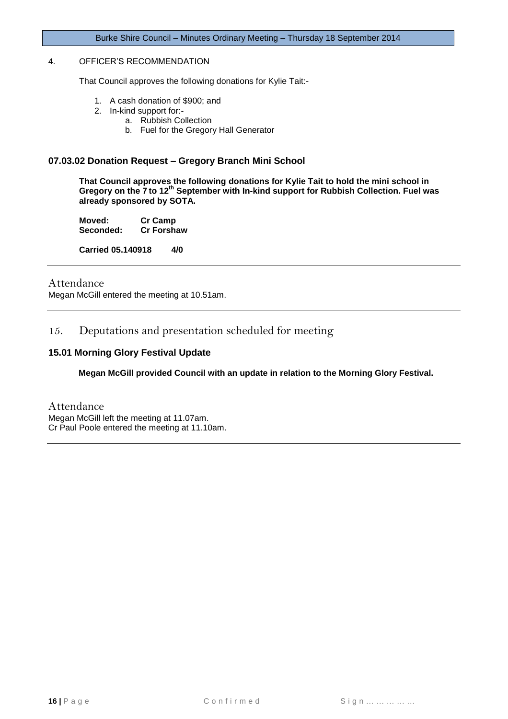# 4. OFFICER'S RECOMMENDATION

That Council approves the following donations for Kylie Tait:-

- 1. A cash donation of \$900; and
- 2. In-kind support for:
	- a. Rubbish Collection
		- b. Fuel for the Gregory Hall Generator

#### **07.03.02 Donation Request – Gregory Branch Mini School**

**That Council approves the following donations for Kylie Tait to hold the mini school in Gregory on the 7 to 12th September with In-kind support for Rubbish Collection. Fuel was already sponsored by SOTA.**

**Moved: Cr Camp Seconded:** 

**Carried 05.140918 4/0**

#### Attendance

Megan McGill entered the meeting at 10.51am.

# <span id="page-15-0"></span>15. Deputations and presentation scheduled for meeting

#### <span id="page-15-1"></span>**15.01 Morning Glory Festival Update**

#### **Megan McGill provided Council with an update in relation to the Morning Glory Festival.**

Attendance Megan McGill left the meeting at 11.07am. Cr Paul Poole entered the meeting at 11.10am.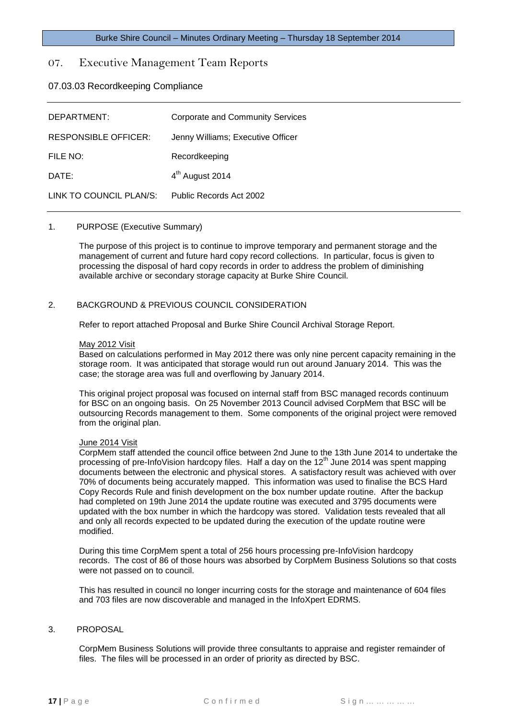# <span id="page-16-0"></span>07. Executive Management Team Reports

<span id="page-16-1"></span>07.03.03 Recordkeeping Compliance

| DEPARTMENT:                 | Corporate and Community Services  |
|-----------------------------|-----------------------------------|
| <b>RESPONSIBLE OFFICER:</b> | Jenny Williams; Executive Officer |
| FILE NO:                    | Recordkeeping                     |
| DATE:                       | 4 <sup>th</sup> August 2014       |
| LINK TO COUNCIL PLAN/S:     | Public Records Act 2002           |

#### 1. PURPOSE (Executive Summary)

The purpose of this project is to continue to improve temporary and permanent storage and the management of current and future hard copy record collections. In particular, focus is given to processing the disposal of hard copy records in order to address the problem of diminishing available archive or secondary storage capacity at Burke Shire Council.

#### 2. BACKGROUND & PREVIOUS COUNCIL CONSIDERATION

Refer to report attached Proposal and Burke Shire Council Archival Storage Report.

#### May 2012 Visit

Based on calculations performed in May 2012 there was only nine percent capacity remaining in the storage room. It was anticipated that storage would run out around January 2014. This was the case; the storage area was full and overflowing by January 2014.

This original project proposal was focused on internal staff from BSC managed records continuum for BSC on an ongoing basis. On 25 November 2013 Council advised CorpMem that BSC will be outsourcing Records management to them. Some components of the original project were removed from the original plan.

#### June 2014 Visit

CorpMem staff attended the council office between 2nd June to the 13th June 2014 to undertake the processing of pre-InfoVision hardcopy files. Half a day on the  $12<sup>th</sup>$  June 2014 was spent mapping documents between the electronic and physical stores. A satisfactory result was achieved with over 70% of documents being accurately mapped. This information was used to finalise the BCS Hard Copy Records Rule and finish development on the box number update routine. After the backup had completed on 19th June 2014 the update routine was executed and 3795 documents were updated with the box number in which the hardcopy was stored. Validation tests revealed that all and only all records expected to be updated during the execution of the update routine were modified.

During this time CorpMem spent a total of 256 hours processing pre-InfoVision hardcopy records. The cost of 86 of those hours was absorbed by CorpMem Business Solutions so that costs were not passed on to council.

This has resulted in council no longer incurring costs for the storage and maintenance of 604 files and 703 files are now discoverable and managed in the InfoXpert EDRMS.

#### 3. PROPOSAL

CorpMem Business Solutions will provide three consultants to appraise and register remainder of files. The files will be processed in an order of priority as directed by BSC.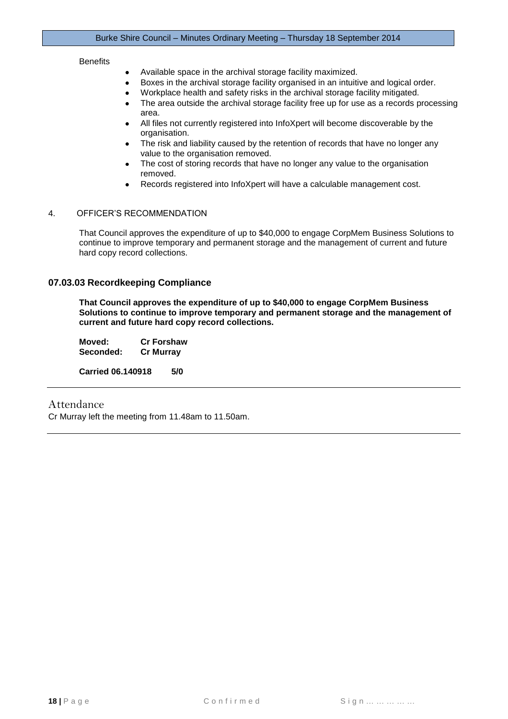#### **Benefits**

- Available space in the archival storage facility maximized.  $\bullet$
- Boxes in the archival storage facility organised in an intuitive and logical order.  $\bullet$
- Workplace health and safety risks in the archival storage facility mitigated.
- The area outside the archival storage facility free up for use as a records processing area.
- All files not currently registered into InfoXpert will become discoverable by the organisation.
- The risk and liability caused by the retention of records that have no longer any value to the organisation removed.
- The cost of storing records that have no longer any value to the organisation removed.
- Records registered into InfoXpert will have a calculable management cost.

#### 4. OFFICER'S RECOMMENDATION

That Council approves the expenditure of up to \$40,000 to engage CorpMem Business Solutions to continue to improve temporary and permanent storage and the management of current and future hard copy record collections.

#### **07.03.03 Recordkeeping Compliance**

**That Council approves the expenditure of up to \$40,000 to engage CorpMem Business Solutions to continue to improve temporary and permanent storage and the management of current and future hard copy record collections.**

**Moved: Cr Forshaw Seconded: Cr Murray Carried 06.140918 5/0**

#### Attendance

Cr Murray left the meeting from 11.48am to 11.50am.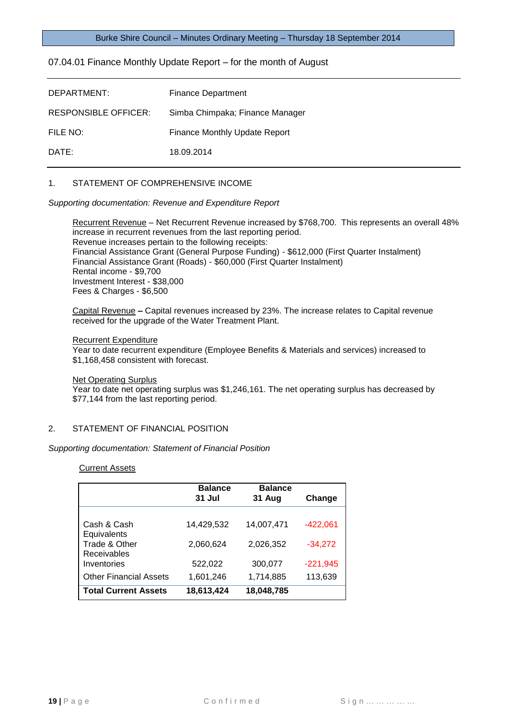#### <span id="page-18-0"></span>07.04.01 Finance Monthly Update Report – for the month of August

| DEPARTMENT:          | Finance Department              |
|----------------------|---------------------------------|
| RESPONSIBLE OFFICER: | Simba Chimpaka; Finance Manager |
| FILE NO:             | Finance Monthly Update Report   |
| DATE:                | 18.09.2014                      |

## 1. STATEMENT OF COMPREHENSIVE INCOME

*Supporting documentation: Revenue and Expenditure Report* 

Recurrent Revenue – Net Recurrent Revenue increased by \$768,700. This represents an overall 48% increase in recurrent revenues from the last reporting period. Revenue increases pertain to the following receipts: Financial Assistance Grant (General Purpose Funding) - \$612,000 (First Quarter Instalment) Financial Assistance Grant (Roads) - \$60,000 (First Quarter Instalment) Rental income - \$9,700 Investment Interest - \$38,000 Fees & Charges - \$6,500

Capital Revenue **–** Capital revenues increased by 23%. The increase relates to Capital revenue received for the upgrade of the Water Treatment Plant.

#### Recurrent Expenditure

Year to date recurrent expenditure (Employee Benefits & Materials and services) increased to \$1,168,458 consistent with forecast.

#### Net Operating Surplus

Year to date net operating surplus was \$1,246,161. The net operating surplus has decreased by \$77,144 from the last reporting period.

#### 2. STATEMENT OF FINANCIAL POSITION

*Supporting documentation: Statement of Financial Position* 

#### Current Assets

|                                     | <b>Balance</b><br>31 Jul | <b>Balance</b><br>31 Aug | Change     |
|-------------------------------------|--------------------------|--------------------------|------------|
| Cash & Cash<br>Equivalents          | 14,429,532               | 14,007,471               | $-422,061$ |
| Trade & Other<br><b>Receivables</b> | 2,060,624                | 2,026,352                | $-34,272$  |
| Inventories                         | 522,022                  | 300,077                  | $-221,945$ |
| <b>Other Financial Assets</b>       | 1,601,246                | 1,714,885                | 113,639    |
| <b>Total Current Assets</b>         | 18,613,424               | 18,048,785               |            |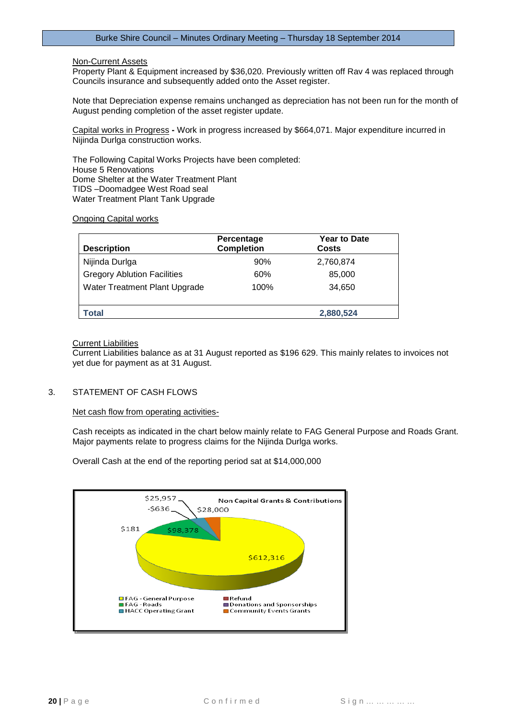#### Non-Current Assets

Property Plant & Equipment increased by \$36,020. Previously written off Rav 4 was replaced through Councils insurance and subsequently added onto the Asset register.

Note that Depreciation expense remains unchanged as depreciation has not been run for the month of August pending completion of the asset register update.

Capital works in Progress **-** Work in progress increased by \$664,071. Major expenditure incurred in Nijinda Durlga construction works.

The Following Capital Works Projects have been completed: House 5 Renovations Dome Shelter at the Water Treatment Plant TIDS –Doomadgee West Road seal Water Treatment Plant Tank Upgrade

#### Ongoing Capital works

| <b>Description</b>                 | Percentage<br><b>Completion</b> | <b>Year to Date</b><br>Costs |
|------------------------------------|---------------------------------|------------------------------|
| Nijinda Durlga                     | 90%                             | 2,760,874                    |
| <b>Gregory Ablution Facilities</b> | 60%                             | 85,000                       |
| Water Treatment Plant Upgrade      | 100%                            | 34.650                       |
| Total                              |                                 | 2,880,524                    |

#### Current Liabilities

Current Liabilities balance as at 31 August reported as \$196 629. This mainly relates to invoices not yet due for payment as at 31 August.

# 3. STATEMENT OF CASH FLOWS

Net cash flow from operating activities-

Cash receipts as indicated in the chart below mainly relate to FAG General Purpose and Roads Grant. Major payments relate to progress claims for the Nijinda Durlga works.

Overall Cash at the end of the reporting period sat at \$14,000,000

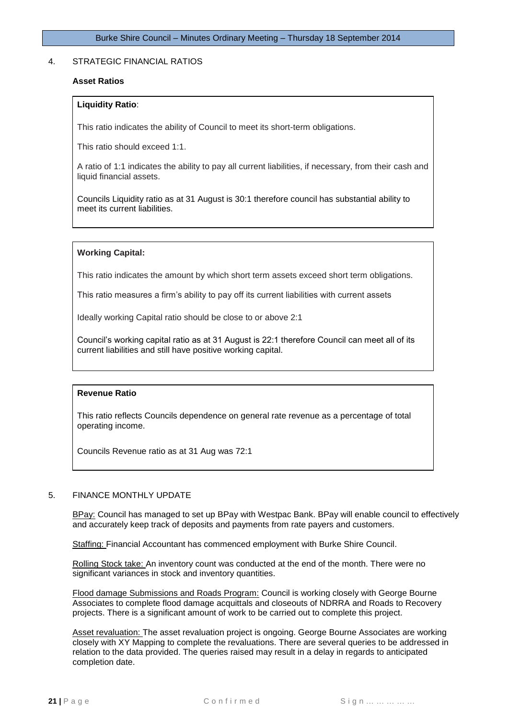#### 4. STRATEGIC FINANCIAL RATIOS

#### **Asset Ratios**

#### **Liquidity Ratio**:

This ratio indicates the ability of Council to meet its short-term obligations.

This ratio should exceed 1:1.

A ratio of 1:1 indicates the ability to pay all current liabilities, if necessary, from their cash and liquid financial assets.

Councils Liquidity ratio as at 31 August is 30:1 therefore council has substantial ability to meet its current liabilities.

#### **Working Capital:**

This ratio indicates the amount by which short term assets exceed short term obligations.

This ratio measures a firm's ability to pay off its current liabilities with current assets

Ideally working Capital ratio should be close to or above 2:1

Council's working capital ratio as at 31 August is 22:1 therefore Council can meet all of its current liabilities and still have positive working capital.

#### **Revenue Ratio**

This ratio reflects Councils dependence on general rate revenue as a percentage of total operating income.

Councils Revenue ratio as at 31 Aug was 72:1

#### 5. FINANCE MONTHLY UPDATE

BPay: Council has managed to set up BPay with Westpac Bank. BPay will enable council to effectively and accurately keep track of deposits and payments from rate payers and customers.

Staffing: Financial Accountant has commenced employment with Burke Shire Council.

Rolling Stock take: An inventory count was conducted at the end of the month. There were no significant variances in stock and inventory quantities.

Flood damage Submissions and Roads Program: Council is working closely with George Bourne Associates to complete flood damage acquittals and closeouts of NDRRA and Roads to Recovery projects. There is a significant amount of work to be carried out to complete this project.

Asset revaluation: The asset revaluation project is ongoing. George Bourne Associates are working closely with XY Mapping to complete the revaluations. There are several queries to be addressed in relation to the data provided. The queries raised may result in a delay in regards to anticipated completion date.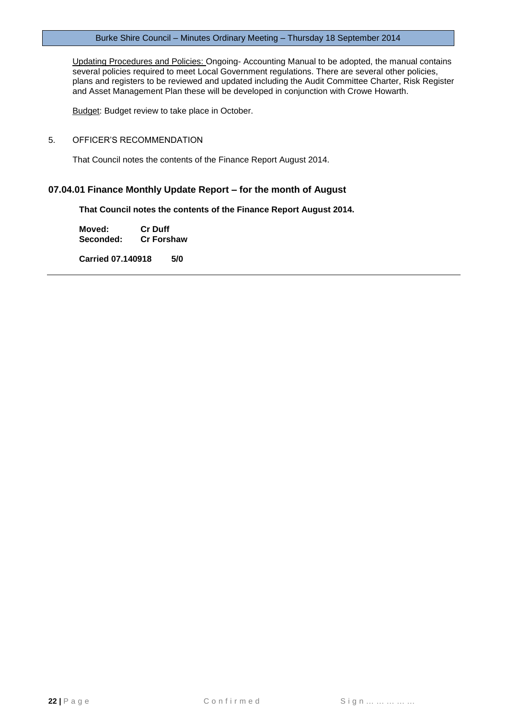Updating Procedures and Policies: Ongoing- Accounting Manual to be adopted, the manual contains several policies required to meet Local Government regulations. There are several other policies, plans and registers to be reviewed and updated including the Audit Committee Charter, Risk Register and Asset Management Plan these will be developed in conjunction with Crowe Howarth.

**Budget: Budget review to take place in October.** 

#### 5. OFFICER'S RECOMMENDATION

That Council notes the contents of the Finance Report August 2014.

# **07.04.01 Finance Monthly Update Report – for the month of August**

**That Council notes the contents of the Finance Report August 2014.**

**Moved: Cr Duff Cr Forshaw** 

**Carried 07.140918 5/0**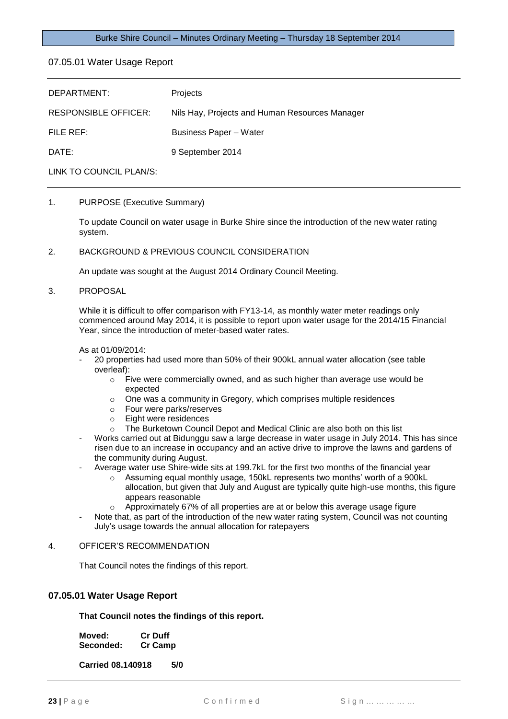<span id="page-22-0"></span>07.05.01 Water Usage Report

| DEPARTMENT:                 | Projects                                       |
|-----------------------------|------------------------------------------------|
| <b>RESPONSIBLE OFFICER:</b> | Nils Hay, Projects and Human Resources Manager |
| FILE REF:                   | <b>Business Paper - Water</b>                  |
| DATE:                       | 9 September 2014                               |
|                             |                                                |

LINK TO COUNCIL PLAN/S:

#### 1. PURPOSE (Executive Summary)

To update Council on water usage in Burke Shire since the introduction of the new water rating system.

#### 2. BACKGROUND & PREVIOUS COUNCIL CONSIDERATION

An update was sought at the August 2014 Ordinary Council Meeting.

#### 3. PROPOSAL

While it is difficult to offer comparison with FY13-14, as monthly water meter readings only commenced around May 2014, it is possible to report upon water usage for the 2014/15 Financial Year, since the introduction of meter-based water rates.

As at 01/09/2014:

- 20 properties had used more than 50% of their 900kL annual water allocation (see table overleaf):
	- $\circ$  Five were commercially owned, and as such higher than average use would be expected
	- o One was a community in Gregory, which comprises multiple residences
	- o Four were parks/reserves
	- o Eight were residences
	- o The Burketown Council Depot and Medical Clinic are also both on this list
- Works carried out at Bidunggu saw a large decrease in water usage in July 2014. This has since risen due to an increase in occupancy and an active drive to improve the lawns and gardens of the community during August.
- Average water use Shire-wide sits at 199.7kL for the first two months of the financial year
	- o Assuming equal monthly usage, 150kL represents two months' worth of a 900kL allocation, but given that July and August are typically quite high-use months, this figure appears reasonable
	- o Approximately 67% of all properties are at or below this average usage figure
- Note that, as part of the introduction of the new water rating system, Council was not counting July's usage towards the annual allocation for ratepayers

#### 4. OFFICER'S RECOMMENDATION

That Council notes the findings of this report.

#### **07.05.01 Water Usage Report**

**That Council notes the findings of this report.**

| Moved:    | <b>Cr Duff</b> |
|-----------|----------------|
| Seconded: | <b>Cr Camp</b> |

**Carried 08.140918 5/0**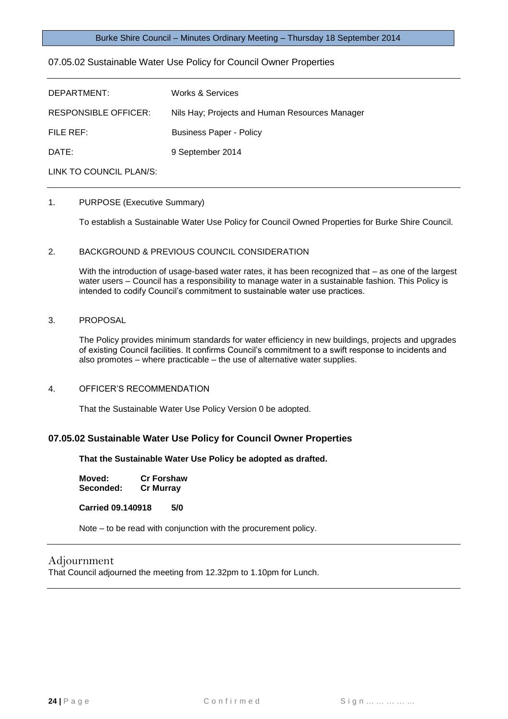## <span id="page-23-0"></span>07.05.02 Sustainable Water Use Policy for Council Owner Properties

| DEPARTMENT:                 | <b>Works &amp; Services</b>                    |
|-----------------------------|------------------------------------------------|
| <b>RESPONSIBLE OFFICER:</b> | Nils Hay; Projects and Human Resources Manager |
| FILE REF:                   | <b>Business Paper - Policy</b>                 |
| DATE:                       | 9 September 2014                               |
| LINK TO COUNCIL PLAN/S:     |                                                |

# 1. PURPOSE (Executive Summary)

To establish a Sustainable Water Use Policy for Council Owned Properties for Burke Shire Council.

#### 2. BACKGROUND & PREVIOUS COUNCIL CONSIDERATION

With the introduction of usage-based water rates, it has been recognized that – as one of the largest water users – Council has a responsibility to manage water in a sustainable fashion. This Policy is intended to codify Council's commitment to sustainable water use practices.

#### 3. PROPOSAL

The Policy provides minimum standards for water efficiency in new buildings, projects and upgrades of existing Council facilities. It confirms Council's commitment to a swift response to incidents and also promotes – where practicable – the use of alternative water supplies.

4. OFFICER'S RECOMMENDATION

That the Sustainable Water Use Policy Version 0 be adopted.

#### **07.05.02 Sustainable Water Use Policy for Council Owner Properties**

**That the Sustainable Water Use Policy be adopted as drafted.**

| Moved:    | <b>Cr Forshaw</b> |
|-----------|-------------------|
| Seconded: | <b>Cr Murray</b>  |

**Carried 09.140918 5/0**

Note – to be read with conjunction with the procurement policy.

# Adjournment

That Council adjourned the meeting from 12.32pm to 1.10pm for Lunch.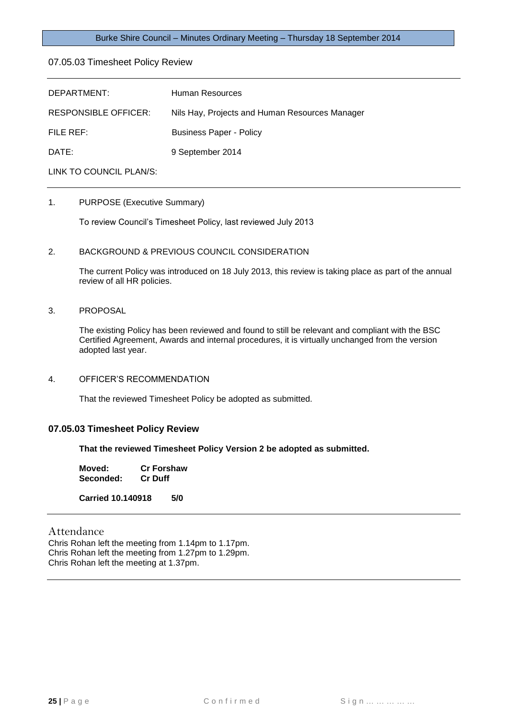#### <span id="page-24-0"></span>07.05.03 Timesheet Policy Review

| DEPARTMENT:             | Human Resources                                |
|-------------------------|------------------------------------------------|
| RESPONSIBLE OFFICER:    | Nils Hay, Projects and Human Resources Manager |
| FILE REF:               | <b>Business Paper - Policy</b>                 |
| DATE:                   | 9 September 2014                               |
| LINK TO COUNCIL PLAN/S: |                                                |

# 1. PURPOSE (Executive Summary)

To review Council's Timesheet Policy, last reviewed July 2013

#### 2. BACKGROUND & PREVIOUS COUNCIL CONSIDERATION

The current Policy was introduced on 18 July 2013, this review is taking place as part of the annual review of all HR policies.

#### 3. PROPOSAL

The existing Policy has been reviewed and found to still be relevant and compliant with the BSC Certified Agreement, Awards and internal procedures, it is virtually unchanged from the version adopted last year.

#### 4. OFFICER'S RECOMMENDATION

That the reviewed Timesheet Policy be adopted as submitted.

#### **07.05.03 Timesheet Policy Review**

**That the reviewed Timesheet Policy Version 2 be adopted as submitted.**

**Moved: Cr Forshaw Seconded: Cr Duff**

**Carried 10.140918 5/0**

#### Attendance

Chris Rohan left the meeting from 1.14pm to 1.17pm. Chris Rohan left the meeting from 1.27pm to 1.29pm. Chris Rohan left the meeting at 1.37pm.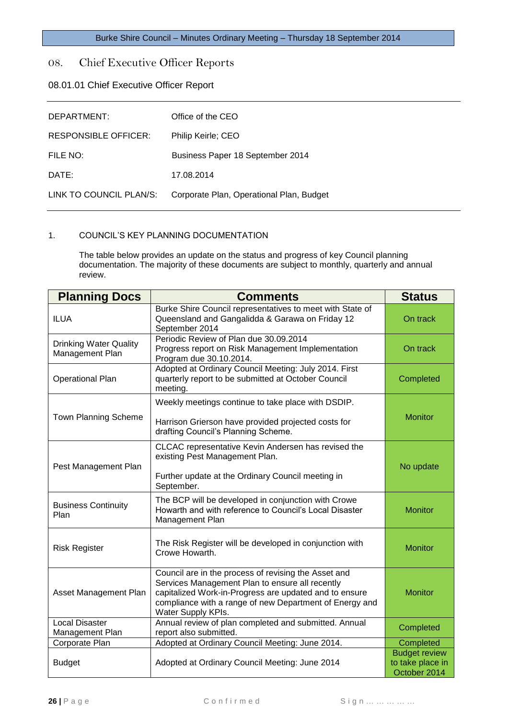# <span id="page-25-0"></span>08. Chief Executive Officer Reports

# <span id="page-25-1"></span>08.01.01 Chief Executive Officer Report

| DEPARTMENT:                 | Office of the CEO                        |
|-----------------------------|------------------------------------------|
| <b>RESPONSIBLE OFFICER:</b> | Philip Keirle; CEO                       |
| FILE NO:                    | Business Paper 18 September 2014         |
| DATE:                       | 17.08.2014                               |
| LINK TO COUNCIL PLAN/S:     | Corporate Plan, Operational Plan, Budget |

#### 1. COUNCIL'S KEY PLANNING DOCUMENTATION

The table below provides an update on the status and progress of key Council planning documentation. The majority of these documents are subject to monthly, quarterly and annual review.

| <b>Planning Docs</b>                             | <b>Comments</b>                                                                                                                                                                                                                                    | <b>Status</b>                                            |
|--------------------------------------------------|----------------------------------------------------------------------------------------------------------------------------------------------------------------------------------------------------------------------------------------------------|----------------------------------------------------------|
| <b>ILUA</b>                                      | Burke Shire Council representatives to meet with State of<br>Queensland and Gangalidda & Garawa on Friday 12<br>September 2014                                                                                                                     | On track                                                 |
| <b>Drinking Water Quality</b><br>Management Plan | Periodic Review of Plan due 30.09.2014<br>Progress report on Risk Management Implementation<br>Program due 30.10.2014.                                                                                                                             | On track                                                 |
| <b>Operational Plan</b>                          | Adopted at Ordinary Council Meeting: July 2014. First<br>quarterly report to be submitted at October Council<br>meeting.                                                                                                                           | Completed                                                |
| Town Planning Scheme                             | Weekly meetings continue to take place with DSDIP.<br>Harrison Grierson have provided projected costs for<br>drafting Council's Planning Scheme.                                                                                                   | <b>Monitor</b>                                           |
| Pest Management Plan                             | CLCAC representative Kevin Andersen has revised the<br>existing Pest Management Plan.<br>Further update at the Ordinary Council meeting in<br>September.                                                                                           | No update                                                |
| <b>Business Continuity</b><br>Plan               | The BCP will be developed in conjunction with Crowe<br>Howarth and with reference to Council's Local Disaster<br>Management Plan                                                                                                                   | <b>Monitor</b>                                           |
| <b>Risk Register</b>                             | The Risk Register will be developed in conjunction with<br>Crowe Howarth.                                                                                                                                                                          | <b>Monitor</b>                                           |
| Asset Management Plan                            | Council are in the process of revising the Asset and<br>Services Management Plan to ensure all recently<br>capitalized Work-in-Progress are updated and to ensure<br>compliance with a range of new Department of Energy and<br>Water Supply KPIs. | <b>Monitor</b>                                           |
| <b>Local Disaster</b><br>Management Plan         | Annual review of plan completed and submitted. Annual<br>report also submitted.                                                                                                                                                                    | Completed                                                |
| Corporate Plan                                   | Adopted at Ordinary Council Meeting: June 2014.                                                                                                                                                                                                    | Completed                                                |
| <b>Budget</b>                                    | Adopted at Ordinary Council Meeting: June 2014                                                                                                                                                                                                     | <b>Budget review</b><br>to take place in<br>October 2014 |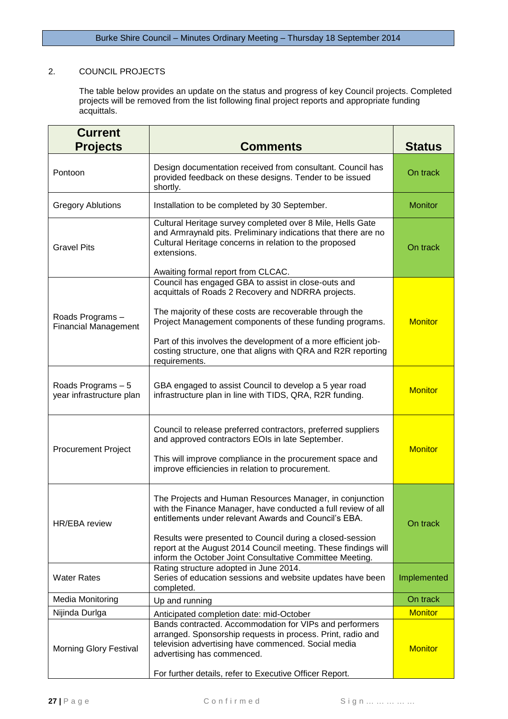# 2. COUNCIL PROJECTS

The table below provides an update on the status and progress of key Council projects. Completed projects will be removed from the list following final project reports and appropriate funding acquittals.

| <b>Current</b><br><b>Projects</b>              | <b>Comments</b>                                                                                                                                                                                                                                                                                                                                                                      | <b>Status</b>  |
|------------------------------------------------|--------------------------------------------------------------------------------------------------------------------------------------------------------------------------------------------------------------------------------------------------------------------------------------------------------------------------------------------------------------------------------------|----------------|
| Pontoon                                        | Design documentation received from consultant. Council has<br>provided feedback on these designs. Tender to be issued<br>shortly.                                                                                                                                                                                                                                                    | On track       |
| <b>Gregory Ablutions</b>                       | Installation to be completed by 30 September.                                                                                                                                                                                                                                                                                                                                        | <b>Monitor</b> |
| <b>Gravel Pits</b>                             | Cultural Heritage survey completed over 8 Mile, Hells Gate<br>and Armraynald pits. Preliminary indications that there are no<br>Cultural Heritage concerns in relation to the proposed<br>extensions.<br>Awaiting formal report from CLCAC.                                                                                                                                          | On track       |
| Roads Programs-<br><b>Financial Management</b> | Council has engaged GBA to assist in close-outs and<br>acquittals of Roads 2 Recovery and NDRRA projects.<br>The majority of these costs are recoverable through the<br>Project Management components of these funding programs.<br>Part of this involves the development of a more efficient job-<br>costing structure, one that aligns with QRA and R2R reporting<br>requirements. | <b>Monitor</b> |
| Roads Programs - 5<br>year infrastructure plan | GBA engaged to assist Council to develop a 5 year road<br>infrastructure plan in line with TIDS, QRA, R2R funding.                                                                                                                                                                                                                                                                   | <b>Monitor</b> |
| <b>Procurement Project</b>                     | Council to release preferred contractors, preferred suppliers<br>and approved contractors EOIs in late September.<br>This will improve compliance in the procurement space and<br>improve efficiencies in relation to procurement.                                                                                                                                                   | <b>Monitor</b> |
| HR/EBA review                                  | The Projects and Human Resources Manager, in conjunction<br>with the Finance Manager, have conducted a full review of all<br>entitlements under relevant Awards and Council's EBA.<br>Results were presented to Council during a closed-session<br>report at the August 2014 Council meeting. These findings will<br>inform the October Joint Consultative Committee Meeting.        | On track       |
| <b>Water Rates</b>                             | Rating structure adopted in June 2014.<br>Series of education sessions and website updates have been<br>completed.                                                                                                                                                                                                                                                                   | Implemented    |
| <b>Media Monitoring</b>                        | Up and running                                                                                                                                                                                                                                                                                                                                                                       | On track       |
| Nijinda Durlga                                 | Anticipated completion date: mid-October                                                                                                                                                                                                                                                                                                                                             | <b>Monitor</b> |
| <b>Morning Glory Festival</b>                  | Bands contracted. Accommodation for VIPs and performers<br>arranged. Sponsorship requests in process. Print, radio and<br>television advertising have commenced. Social media<br>advertising has commenced.<br>For further details, refer to Executive Officer Report.                                                                                                               | <b>Monitor</b> |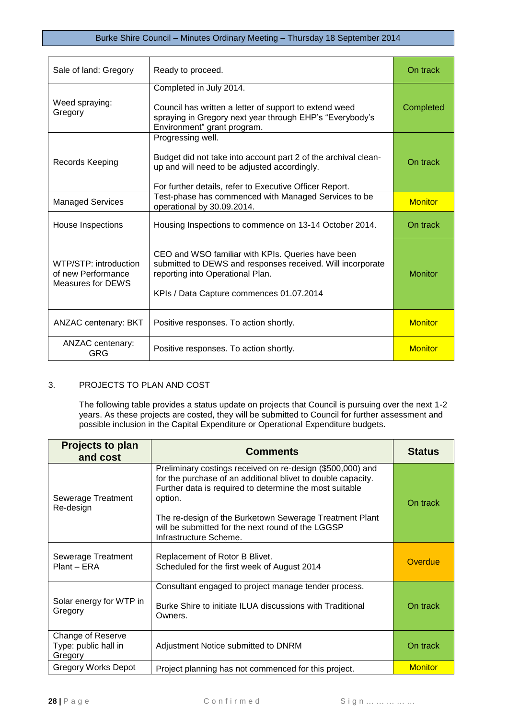| Sale of land: Gregory                                            | Ready to proceed.                                                                                                                                                                               | On track       |
|------------------------------------------------------------------|-------------------------------------------------------------------------------------------------------------------------------------------------------------------------------------------------|----------------|
| Weed spraying:<br>Gregory                                        | Completed in July 2014.<br>Council has written a letter of support to extend weed<br>spraying in Gregory next year through EHP's "Everybody's<br>Environment" grant program.                    | Completed      |
| Records Keeping                                                  | Progressing well.<br>Budget did not take into account part 2 of the archival clean-<br>up and will need to be adjusted accordingly.<br>For further details, refer to Executive Officer Report.  | On track       |
| <b>Managed Services</b>                                          | Test-phase has commenced with Managed Services to be<br>operational by 30.09.2014.                                                                                                              | <b>Monitor</b> |
| House Inspections                                                | Housing Inspections to commence on 13-14 October 2014.                                                                                                                                          | On track       |
| WTP/STP: introduction<br>of new Performance<br>Measures for DEWS | CEO and WSO familiar with KPIs. Queries have been<br>submitted to DEWS and responses received. Will incorporate<br>reporting into Operational Plan.<br>KPIs / Data Capture commences 01.07.2014 | <b>Monitor</b> |
| <b>ANZAC centenary: BKT</b>                                      | Positive responses. To action shortly.                                                                                                                                                          | <b>Monitor</b> |
| ANZAC centenary:<br>GRG                                          | Positive responses. To action shortly.                                                                                                                                                          | <b>Monitor</b> |

# 3. PROJECTS TO PLAN AND COST

The following table provides a status update on projects that Council is pursuing over the next 1-2 years. As these projects are costed, they will be submitted to Council for further assessment and possible inclusion in the Capital Expenditure or Operational Expenditure budgets.

| <b>Projects to plan</b><br>and cost                  | Comments                                                                                                                                                                                                                                                                                                                                   | <b>Status</b>  |
|------------------------------------------------------|--------------------------------------------------------------------------------------------------------------------------------------------------------------------------------------------------------------------------------------------------------------------------------------------------------------------------------------------|----------------|
| Sewerage Treatment<br>Re-design                      | Preliminary costings received on re-design (\$500,000) and<br>for the purchase of an additional blivet to double capacity.<br>Further data is required to determine the most suitable<br>option.<br>The re-design of the Burketown Sewerage Treatment Plant<br>will be submitted for the next round of the LGGSP<br>Infrastructure Scheme. | On track       |
| Sewerage Treatment<br>Plant - ERA                    | Replacement of Rotor B Blivet.<br>Scheduled for the first week of August 2014                                                                                                                                                                                                                                                              | Overdue        |
| Solar energy for WTP in<br>Gregory                   | Consultant engaged to project manage tender process.<br>Burke Shire to initiate ILUA discussions with Traditional<br>Owners.                                                                                                                                                                                                               | On track       |
| Change of Reserve<br>Type: public hall in<br>Gregory | Adjustment Notice submitted to DNRM                                                                                                                                                                                                                                                                                                        | On track       |
| <b>Gregory Works Depot</b>                           | Project planning has not commenced for this project.                                                                                                                                                                                                                                                                                       | <b>Monitor</b> |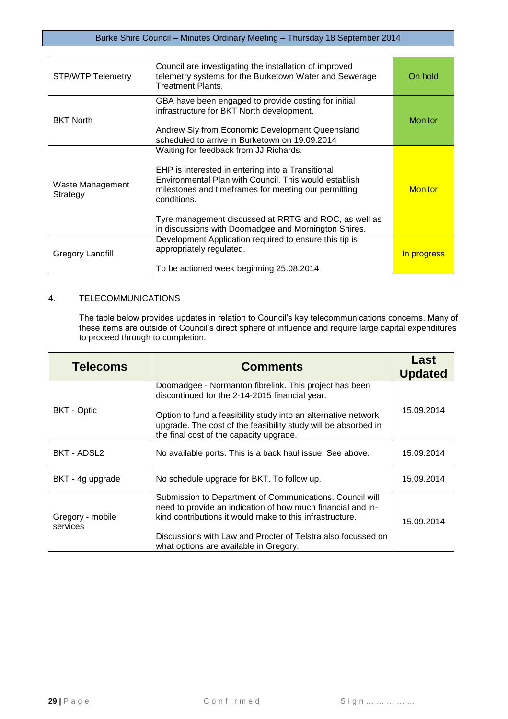| <b>STP/WTP Telemetry</b>     | Council are investigating the installation of improved<br>telemetry systems for the Burketown Water and Sewerage<br><b>Treatment Plants.</b>                                                                                                                                                                                                 | On hold        |
|------------------------------|----------------------------------------------------------------------------------------------------------------------------------------------------------------------------------------------------------------------------------------------------------------------------------------------------------------------------------------------|----------------|
| <b>BKT North</b>             | GBA have been engaged to provide costing for initial<br>infrastructure for BKT North development.<br>Andrew Sly from Economic Development Queensland<br>scheduled to arrive in Burketown on 19.09.2014                                                                                                                                       | <b>Monitor</b> |
| Waste Management<br>Strategy | Waiting for feedback from JJ Richards.<br>EHP is interested in entering into a Transitional<br>Environmental Plan with Council. This would establish<br>milestones and timeframes for meeting our permitting<br>conditions.<br>Tyre management discussed at RRTG and ROC, as well as<br>in discussions with Doomadgee and Mornington Shires. | <b>Monitor</b> |
| Gregory Landfill             | Development Application required to ensure this tip is<br>appropriately regulated.<br>To be actioned week beginning 25.08.2014                                                                                                                                                                                                               | In progress    |

# 4. TELECOMMUNICATIONS

The table below provides updates in relation to Council's key telecommunications concerns. Many of these items are outside of Council's direct sphere of influence and require large capital expenditures to proceed through to completion.

| <b>Telecoms</b>              | <b>Comments</b>                                                                                                                                                                                                                                                                               | Last<br><b>Updated</b> |
|------------------------------|-----------------------------------------------------------------------------------------------------------------------------------------------------------------------------------------------------------------------------------------------------------------------------------------------|------------------------|
|                              | Doomadgee - Normanton fibrelink. This project has been<br>discontinued for the 2-14-2015 financial year.                                                                                                                                                                                      |                        |
| <b>BKT</b> - Optic           | Option to fund a feasibility study into an alternative network<br>upgrade. The cost of the feasibility study will be absorbed in<br>the final cost of the capacity upgrade.                                                                                                                   | 15.09.2014             |
| BKT - ADSL2                  | No available ports. This is a back haul issue. See above.                                                                                                                                                                                                                                     | 15.09.2014             |
| BKT - 4g upgrade             | No schedule upgrade for BKT. To follow up.                                                                                                                                                                                                                                                    | 15.09.2014             |
| Gregory - mobile<br>services | Submission to Department of Communications. Council will<br>need to provide an indication of how much financial and in-<br>kind contributions it would make to this infrastructure.<br>Discussions with Law and Procter of Telstra also focussed on<br>what options are available in Gregory. | 15.09.2014             |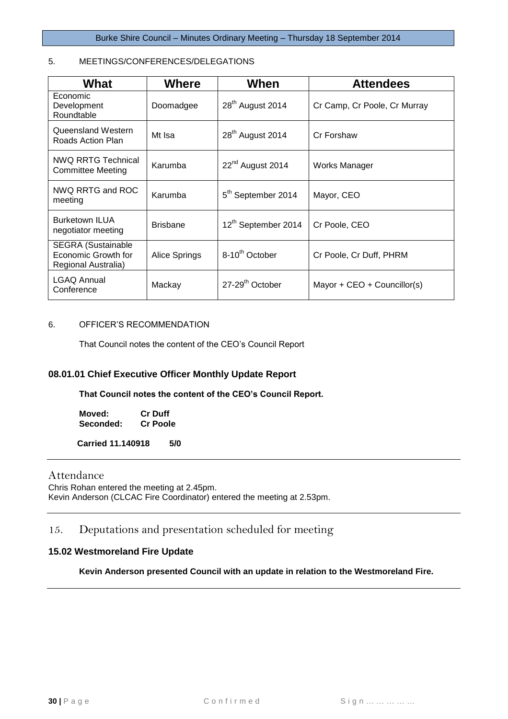# 5. MEETINGS/CONFERENCES/DELEGATIONS

| What                                                                    | <b>Where</b>    | When                            | <b>Attendees</b>             |
|-------------------------------------------------------------------------|-----------------|---------------------------------|------------------------------|
| Economic<br>Development<br>Roundtable                                   | Doomadgee       | 28 <sup>th</sup> August 2014    | Cr Camp, Cr Poole, Cr Murray |
| Queensland Western<br>Roads Action Plan                                 | Mt Isa          | 28 <sup>th</sup> August 2014    | Cr Forshaw                   |
| <b>NWQ RRTG Technical</b><br>Committee Meeting                          | Karumba         | 22 <sup>nd</sup> August 2014    | Works Manager                |
| NWQ RRTG and ROC<br>meeting                                             | Karumba         | 5 <sup>th</sup> September 2014  | Mayor, CEO                   |
| <b>Burketown ILUA</b><br>negotiator meeting                             | <b>Brisbane</b> | 12 <sup>th</sup> September 2014 | Cr Poole, CEO                |
| <b>SEGRA (Sustainable</b><br>Economic Growth for<br>Regional Australia) | Alice Springs   | 8-10 <sup>th</sup> October      | Cr Poole, Cr Duff, PHRM      |
| <b>LGAQ Annual</b><br>Conference                                        | Mackay          | 27-29 <sup>th</sup> October     | Mayor + $CEO + CountinC(s)$  |

### 6. OFFICER'S RECOMMENDATION

That Council notes the content of the CEO's Council Report

# **08.01.01 Chief Executive Officer Monthly Update Report**

**That Council notes the content of the CEO's Council Report.**

**Moved: Cr Duff Seconded:** 

 **Carried 11.140918 5/0**

## Attendance

Chris Rohan entered the meeting at 2.45pm. Kevin Anderson (CLCAC Fire Coordinator) entered the meeting at 2.53pm.

# <span id="page-29-0"></span>15. Deputations and presentation scheduled for meeting

# <span id="page-29-1"></span>**15.02 Westmoreland Fire Update**

**Kevin Anderson presented Council with an update in relation to the Westmoreland Fire.**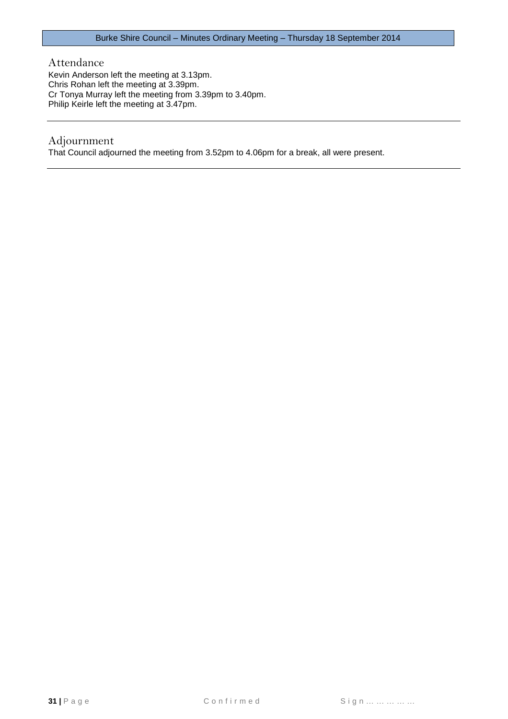Attendance

Kevin Anderson left the meeting at 3.13pm. Chris Rohan left the meeting at 3.39pm. Cr Tonya Murray left the meeting from 3.39pm to 3.40pm. Philip Keirle left the meeting at 3.47pm.

# Adjournment

That Council adjourned the meeting from 3.52pm to 4.06pm for a break, all were present.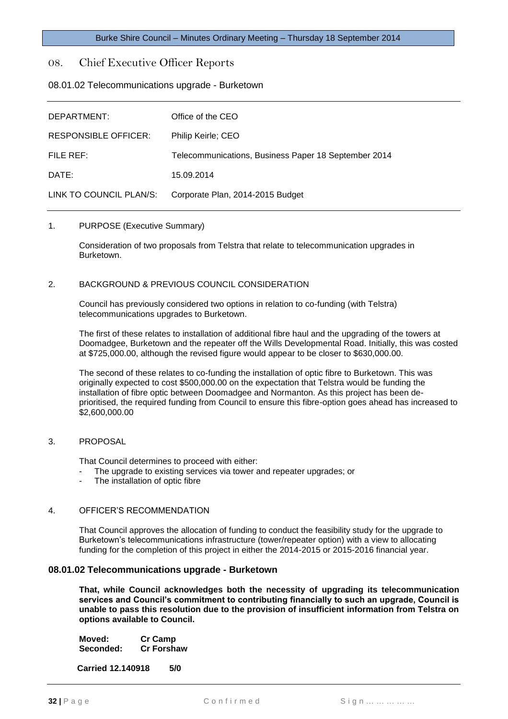# <span id="page-31-0"></span>08. Chief Executive Officer Reports

### <span id="page-31-1"></span>08.01.02 Telecommunications upgrade - Burketown

| DEPARTMENT:                 | Office of the CEO                                    |
|-----------------------------|------------------------------------------------------|
| <b>RESPONSIBLE OFFICER:</b> | Philip Keirle; CEO                                   |
| FILE REF:                   | Telecommunications, Business Paper 18 September 2014 |
| DATE:                       | 15.09.2014                                           |
| LINK TO COUNCIL PLAN/S:     | Corporate Plan, 2014-2015 Budget                     |

#### 1. PURPOSE (Executive Summary)

Consideration of two proposals from Telstra that relate to telecommunication upgrades in Burketown.

#### 2. BACKGROUND & PREVIOUS COUNCIL CONSIDERATION

Council has previously considered two options in relation to co-funding (with Telstra) telecommunications upgrades to Burketown.

The first of these relates to installation of additional fibre haul and the upgrading of the towers at Doomadgee, Burketown and the repeater off the Wills Developmental Road. Initially, this was costed at \$725,000.00, although the revised figure would appear to be closer to \$630,000.00.

The second of these relates to co-funding the installation of optic fibre to Burketown. This was originally expected to cost \$500,000.00 on the expectation that Telstra would be funding the installation of fibre optic between Doomadgee and Normanton. As this project has been deprioritised, the required funding from Council to ensure this fibre-option goes ahead has increased to \$2,600,000.00

#### 3. PROPOSAL

That Council determines to proceed with either:

- The upgrade to existing services via tower and repeater upgrades; or
- The installation of optic fibre

#### 4. OFFICER'S RECOMMENDATION

That Council approves the allocation of funding to conduct the feasibility study for the upgrade to Burketown's telecommunications infrastructure (tower/repeater option) with a view to allocating funding for the completion of this project in either the 2014-2015 or 2015-2016 financial year.

#### **08.01.02 Telecommunications upgrade - Burketown**

**That, while Council acknowledges both the necessity of upgrading its telecommunication services and Council's commitment to contributing financially to such an upgrade, Council is unable to pass this resolution due to the provision of insufficient information from Telstra on options available to Council.**

**Moved: Cr Camp Seconded: Cr Forshaw**

**Carried 12.140918 5/0**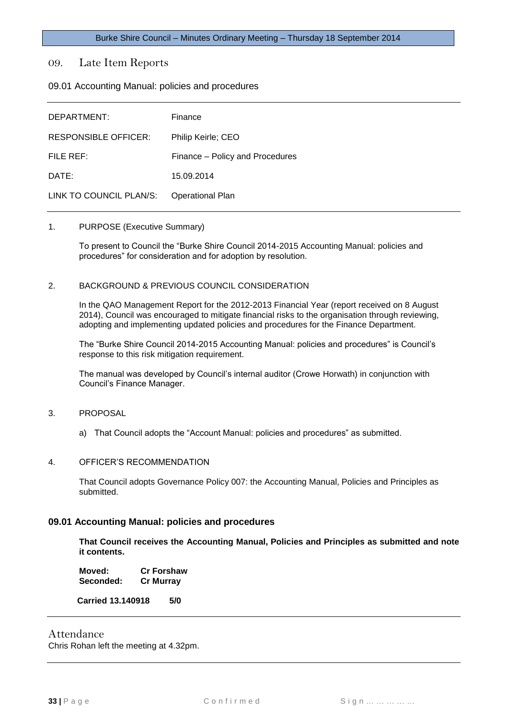<span id="page-32-0"></span>09. Late Item Reports

<span id="page-32-1"></span>09.01 Accounting Manual: policies and procedures

| DEPARTMENT:                 | Finance                         |
|-----------------------------|---------------------------------|
| <b>RESPONSIBLE OFFICER:</b> | Philip Keirle; CEO              |
| FILE REF:                   | Finance – Policy and Procedures |
| DATE:                       | 15.09.2014                      |
| LINK TO COUNCIL PLAN/S:     | <b>Operational Plan</b>         |

#### 1. PURPOSE (Executive Summary)

To present to Council the "Burke Shire Council 2014-2015 Accounting Manual: policies and procedures" for consideration and for adoption by resolution.

#### 2. BACKGROUND & PREVIOUS COUNCIL CONSIDERATION

In the QAO Management Report for the 2012-2013 Financial Year (report received on 8 August 2014), Council was encouraged to mitigate financial risks to the organisation through reviewing, adopting and implementing updated policies and procedures for the Finance Department.

The "Burke Shire Council 2014-2015 Accounting Manual: policies and procedures" is Council's response to this risk mitigation requirement.

The manual was developed by Council's internal auditor (Crowe Horwath) in conjunction with Council's Finance Manager.

- 3. PROPOSAL
	- a) That Council adopts the "Account Manual: policies and procedures" as submitted.

#### 4. OFFICER'S RECOMMENDATION

That Council adopts Governance Policy 007: the Accounting Manual, Policies and Principles as submitted.

#### **09.01 Accounting Manual: policies and procedures**

**That Council receives the Accounting Manual, Policies and Principles as submitted and note it contents.**

**Moved: Cr Forshaw Seconded: Cr Murray**

 **Carried 13.140918 5/0**

# Attendance

Chris Rohan left the meeting at 4.32pm.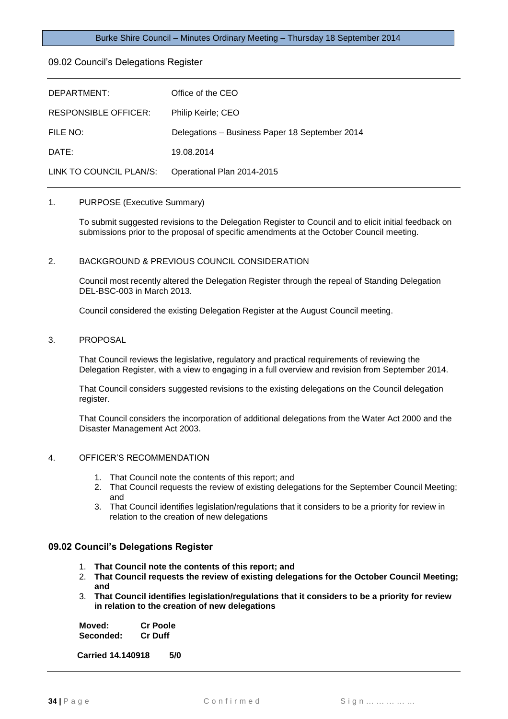#### <span id="page-33-0"></span>09.02 Council's Delegations Register

| DEPARTMENT:                 | Office of the CEO                              |
|-----------------------------|------------------------------------------------|
| <b>RESPONSIBLE OFFICER:</b> | Philip Keirle; CEO                             |
| FILE NO:                    | Delegations - Business Paper 18 September 2014 |
| DATE:                       | 19.08.2014                                     |
| LINK TO COUNCIL PLAN/S:     | Operational Plan 2014-2015                     |

#### 1. PURPOSE (Executive Summary)

To submit suggested revisions to the Delegation Register to Council and to elicit initial feedback on submissions prior to the proposal of specific amendments at the October Council meeting.

#### 2. BACKGROUND & PREVIOUS COUNCIL CONSIDERATION

Council most recently altered the Delegation Register through the repeal of Standing Delegation DEL-BSC-003 in March 2013.

Council considered the existing Delegation Register at the August Council meeting.

#### 3. PROPOSAL

That Council reviews the legislative, regulatory and practical requirements of reviewing the Delegation Register, with a view to engaging in a full overview and revision from September 2014.

That Council considers suggested revisions to the existing delegations on the Council delegation register.

That Council considers the incorporation of additional delegations from the Water Act 2000 and the Disaster Management Act 2003.

#### 4. OFFICER'S RECOMMENDATION

- 1. That Council note the contents of this report; and
- 2. That Council requests the review of existing delegations for the September Council Meeting; and
- 3. That Council identifies legislation/regulations that it considers to be a priority for review in relation to the creation of new delegations

#### **09.02 Council's Delegations Register**

- 1. **That Council note the contents of this report; and**
- 2. **That Council requests the review of existing delegations for the October Council Meeting; and**
- 3. **That Council identifies legislation/regulations that it considers to be a priority for review in relation to the creation of new delegations**

**Moved: Cr Poole Seconded: Cr Duff**

 **Carried 14.140918 5/0**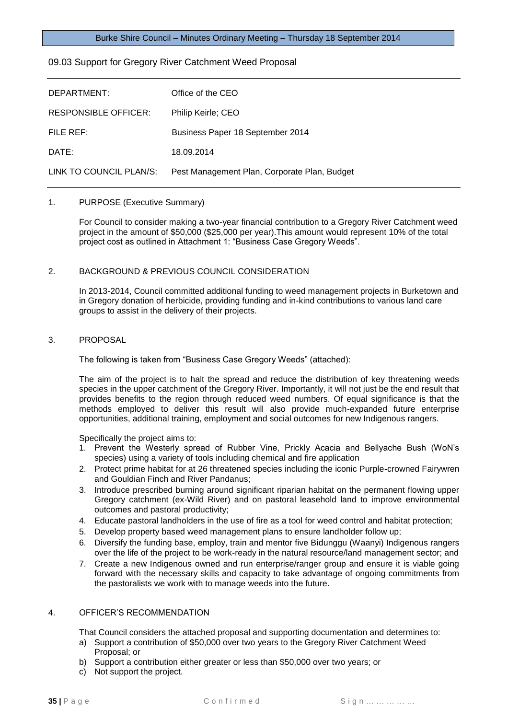## <span id="page-34-0"></span>09.03 Support for Gregory River Catchment Weed Proposal

| DEPARTMENT:                 | Office of the CEO                            |
|-----------------------------|----------------------------------------------|
| <b>RESPONSIBLE OFFICER:</b> | Philip Keirle; CEO                           |
| FILE REF:                   | Business Paper 18 September 2014             |
| DATE:                       | 18.09.2014                                   |
| LINK TO COUNCIL PLAN/S:     | Pest Management Plan, Corporate Plan, Budget |

# 1. PURPOSE (Executive Summary)

For Council to consider making a two-year financial contribution to a Gregory River Catchment weed project in the amount of \$50,000 (\$25,000 per year).This amount would represent 10% of the total project cost as outlined in Attachment 1: "Business Case Gregory Weeds".

#### 2. BACKGROUND & PREVIOUS COUNCIL CONSIDERATION

In 2013-2014, Council committed additional funding to weed management projects in Burketown and in Gregory donation of herbicide, providing funding and in-kind contributions to various land care groups to assist in the delivery of their projects.

#### 3. PROPOSAL

The following is taken from "Business Case Gregory Weeds" (attached):

The aim of the project is to halt the spread and reduce the distribution of key threatening weeds species in the upper catchment of the Gregory River. Importantly, it will not just be the end result that provides benefits to the region through reduced weed numbers. Of equal significance is that the methods employed to deliver this result will also provide much-expanded future enterprise opportunities, additional training, employment and social outcomes for new Indigenous rangers.

Specifically the project aims to:

- 1. Prevent the Westerly spread of Rubber Vine, Prickly Acacia and Bellyache Bush (WoN's species) using a variety of tools including chemical and fire application
- 2. Protect prime habitat for at 26 threatened species including the iconic Purple-crowned Fairywren and Gouldian Finch and River Pandanus;
- 3. Introduce prescribed burning around significant riparian habitat on the permanent flowing upper Gregory catchment (ex-Wild River) and on pastoral leasehold land to improve environmental outcomes and pastoral productivity;
- 4. Educate pastoral landholders in the use of fire as a tool for weed control and habitat protection;
- 5. Develop property based weed management plans to ensure landholder follow up;
- 6. Diversify the funding base, employ, train and mentor five Bidunggu (Waanyi) Indigenous rangers over the life of the project to be work-ready in the natural resource/land management sector; and
- 7. Create a new Indigenous owned and run enterprise/ranger group and ensure it is viable going forward with the necessary skills and capacity to take advantage of ongoing commitments from the pastoralists we work with to manage weeds into the future.

### 4. OFFICER'S RECOMMENDATION

That Council considers the attached proposal and supporting documentation and determines to:

- a) Support a contribution of \$50,000 over two years to the Gregory River Catchment Weed Proposal; or
- b) Support a contribution either greater or less than \$50,000 over two years; or
- c) Not support the project.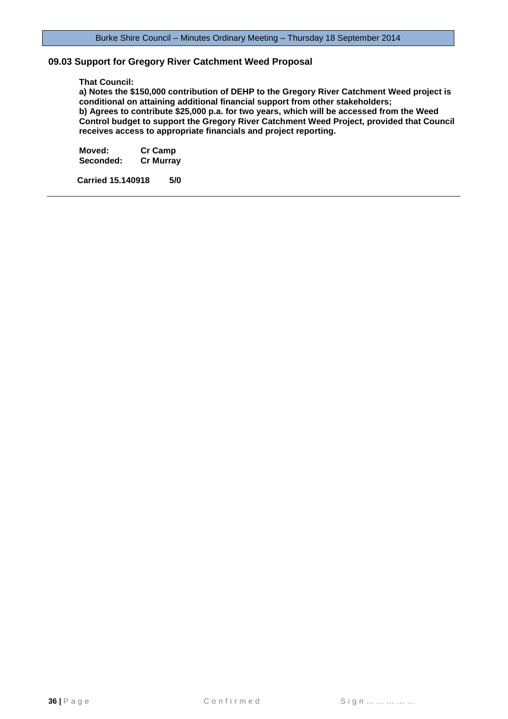#### **09.03 Support for Gregory River Catchment Weed Proposal**

#### **That Council:**

**a) Notes the \$150,000 contribution of DEHP to the Gregory River Catchment Weed project is conditional on attaining additional financial support from other stakeholders; b) Agrees to contribute \$25,000 p.a. for two years, which will be accessed from the Weed Control budget to support the Gregory River Catchment Weed Project, provided that Council receives access to appropriate financials and project reporting.**

**Moved: Cr Camp Seconded:** 

 **Carried 15.140918 5/0**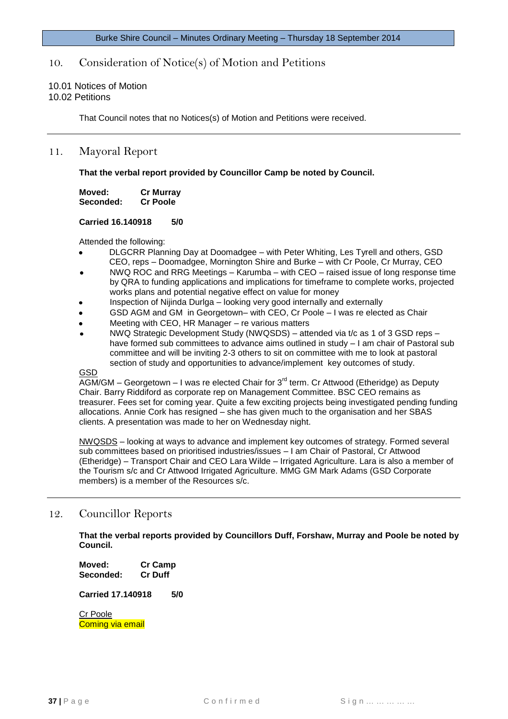# <span id="page-36-0"></span>10. Consideration of Notice(s) of Motion and Petitions

#### <span id="page-36-2"></span><span id="page-36-1"></span>10.01 Notices of Motion 10.02 Petitions

That Council notes that no Notices(s) of Motion and Petitions were received.

# <span id="page-36-3"></span>11. Mayoral Report

**That the verbal report provided by Councillor Camp be noted by Council.**

| Moved:    | <b>Cr Murray</b> |
|-----------|------------------|
| Seconded: | <b>Cr Poole</b>  |

#### **Carried 16.140918 5/0**

Attended the following:

- DLGCRR Planning Day at Doomadgee with Peter Whiting, Les Tyrell and others, GSD CEO, reps – Doomadgee, Mornington Shire and Burke – with Cr Poole, Cr Murray, CEO
- NWQ ROC and RRG Meetings Karumba with CEO raised issue of long response time by QRA to funding applications and implications for timeframe to complete works, projected works plans and potential negative effect on value for money
- Inspection of Nijinda Durlga looking very good internally and externally
- GSD AGM and GM in Georgetown– with CEO, Cr Poole I was re elected as Chair
- Meeting with CEO, HR Manager re various matters
- NWQ Strategic Development Study (NWQSDS) attended via t/c as 1 of 3 GSD reps have formed sub committees to advance aims outlined in study  $-1$  am chair of Pastoral sub committee and will be inviting 2-3 others to sit on committee with me to look at pastoral section of study and opportunities to advance/implement key outcomes of study.

#### GSD

AGM/GM – Georgetown – I was re elected Chair for 3<sup>rd</sup> term. Cr Attwood (Etheridge) as Deputy Chair. Barry Riddiford as corporate rep on Management Committee. BSC CEO remains as treasurer. Fees set for coming year. Quite a few exciting projects being investigated pending funding allocations. Annie Cork has resigned – she has given much to the organisation and her SBAS clients. A presentation was made to her on Wednesday night.

NWQSDS – looking at ways to advance and implement key outcomes of strategy. Formed several sub committees based on prioritised industries/issues – I am Chair of Pastoral, Cr Attwood (Etheridge) – Transport Chair and CEO Lara Wilde – Irrigated Agriculture. Lara is also a member of the Tourism s/c and Cr Attwood Irrigated Agriculture. MMG GM Mark Adams (GSD Corporate members) is a member of the Resources s/c.

# <span id="page-36-4"></span>12. Councillor Reports

**That the verbal reports provided by Councillors Duff, Forshaw, Murray and Poole be noted by Council.**

**Moved: Cr Camp Seconded: Cr Duff**

**Carried 17.140918 5/0**

Cr Poole Coming via email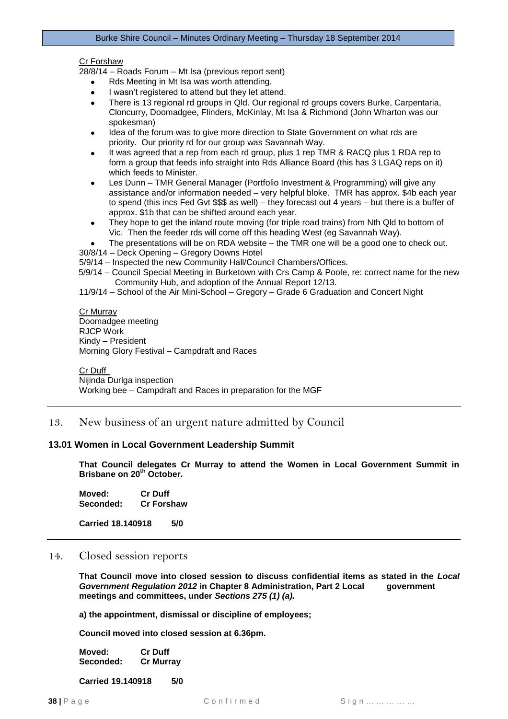#### Cr Forshaw

28/8/14 – Roads Forum – Mt Isa (previous report sent)

- Rds Meeting in Mt Isa was worth attending.
- I wasn't registered to attend but they let attend.
- $\bullet$ There is 13 regional rd groups in Qld. Our regional rd groups covers Burke, Carpentaria, Cloncurry, Doomadgee, Flinders, McKinlay, Mt Isa & Richmond (John Wharton was our spokesman)
- Idea of the forum was to give more direction to State Government on what rds are priority. Our priority rd for our group was Savannah Way.
- It was agreed that a rep from each rd group, plus 1 rep TMR & RACQ plus 1 RDA rep to form a group that feeds info straight into Rds Alliance Board (this has 3 LGAQ reps on it) which feeds to Minister.
- Les Dunn TMR General Manager (Portfolio Investment & Programming) will give any  $\bullet$ assistance and/or information needed – very helpful bloke. TMR has approx. \$4b each year to spend (this incs Fed Gvt \$\$\$ as well) – they forecast out 4 years – but there is a buffer of approx. \$1b that can be shifted around each year.
- They hope to get the inland route moving (for triple road trains) from Nth Qld to bottom of Vic. Then the feeder rds will come off this heading West (eg Savannah Way).
- The presentations will be on RDA website the TMR one will be a good one to check out.
- 30/8/14 Deck Opening Gregory Downs Hotel
- 5/9/14 Inspected the new Community Hall/Council Chambers/Offices.
- 5/9/14 Council Special Meeting in Burketown with Crs Camp & Poole, re: correct name for the new Community Hub, and adoption of the Annual Report 12/13.
- 11/9/14 School of the Air Mini-School Gregory Grade 6 Graduation and Concert Night

#### Cr Murray Doomadgee meeting RJCP Work Kindy – President Morning Glory Festival – Campdraft and Races

Cr Duff Nijinda Durlga inspection Working bee – Campdraft and Races in preparation for the MGF

# <span id="page-37-0"></span>13. New business of an urgent nature admitted by Council

#### <span id="page-37-1"></span>**13.01 Women in Local Government Leadership Summit**

**That Council delegates Cr Murray to attend the Women in Local Government Summit in Brisbane on 20th October.**

**Moved: Cr Duff Seconded: Cr Forshaw**

**Carried 18.140918 5/0**

## <span id="page-37-2"></span>14. Closed session reports

**That Council move into closed session to discuss confidential items as stated in the** *Local Government Regulation 2012* **in Chapter 8 Administration, Part 2 Local government meetings and committees, under** *Sections 275 (1) (a).* 

**a) the appointment, dismissal or discipline of employees;** 

**Council moved into closed session at 6.36pm.**

| Moved:    | <b>Cr Duff</b>   |
|-----------|------------------|
| Seconded: | <b>Cr Murray</b> |

**Carried 19.140918 5/0**